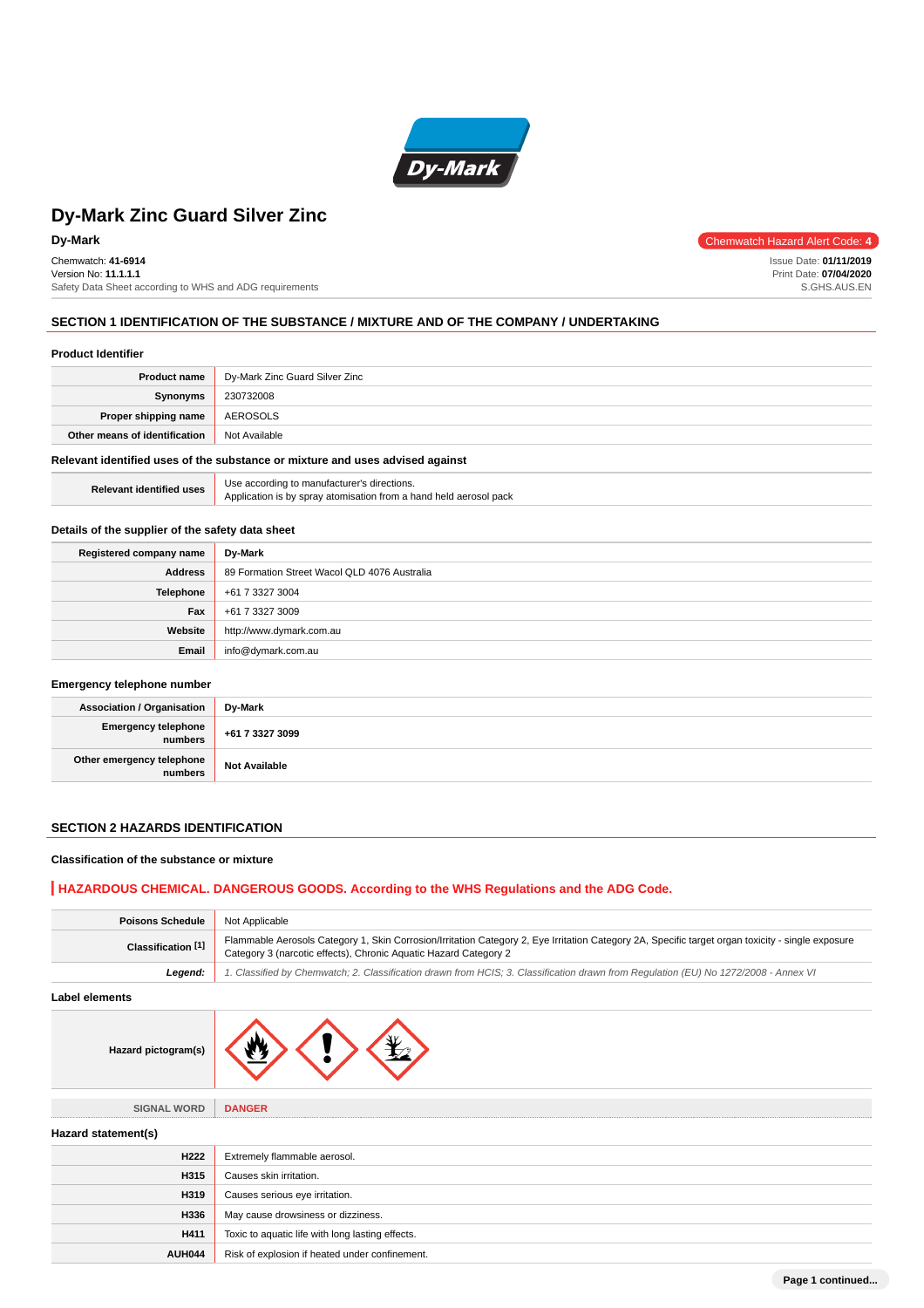

Chemwatch: **41-6914** Version No: **11.1.1.1** Safety Data Sheet according to WHS and ADG requirements

**Dy-Mark** Chemwatch Hazard Alert Code: 4

Issue Date: **01/11/2019** Print Date: **07/04/2020** S.GHS.AUS.EN

### **SECTION 1 IDENTIFICATION OF THE SUBSTANCE / MIXTURE AND OF THE COMPANY / UNDERTAKING**

### **Product Identifier**

| <b>Product name</b>                                                           | Dy-Mark Zinc Guard Silver Zinc |
|-------------------------------------------------------------------------------|--------------------------------|
| Synonyms                                                                      | 230732008                      |
| Proper shipping name                                                          | AEROSOLS                       |
| Other means of identification                                                 | Not Available                  |
| Relevant identified uses of the substance or mixture and uses advised against |                                |

|                                 | Use accordi |
|---------------------------------|-------------|
| <b>Relevant identified uses</b> | Annlication |

### Use according to manufacturer's directions.<br>Application is by spray atomisation from a h tion is by spray atomisation from a hand held aerosol pack

### **Details of the supplier of the safety data sheet**

| Registered company name | Dy-Mark                                      |
|-------------------------|----------------------------------------------|
| <b>Address</b>          | 89 Formation Street Wacol QLD 4076 Australia |
| Telephone               | +61 7 3327 3004                              |
| Fax                     | +61 7 3327 3009                              |
| Website                 | http://www.dymark.com.au                     |
| Email                   | info@dymark.com.au                           |

#### **Emergency telephone number**

| Association / Organisation                     | Dy-Mark              |
|------------------------------------------------|----------------------|
| Emergency telephone<br>numbers +61 7 3327 3099 |                      |
| Other emergency telephone                      | <b>Not Available</b> |

### **SECTION 2 HAZARDS IDENTIFICATION**

### **Classification of the substance or mixture**

### **HAZARDOUS CHEMICAL. DANGEROUS GOODS. According to the WHS Regulations and the ADG Code.**

| <b>Poisons Schedule</b> | Not Applicable                                                                                                                                                                                                        |
|-------------------------|-----------------------------------------------------------------------------------------------------------------------------------------------------------------------------------------------------------------------|
| Classification [1]      | Flammable Aerosols Category 1, Skin Corrosion/Irritation Category 2, Eye Irritation Category 2A, Specific target organ toxicity - single exposure<br>Category 3 (narcotic effects), Chronic Aquatic Hazard Category 2 |
| Legend:                 | 1. Classified by Chemwatch; 2. Classification drawn from HCIS; 3. Classification drawn from Regulation (EU) No 1272/2008 - Annex VI                                                                                   |
| Label elements          |                                                                                                                                                                                                                       |
| Hazard pictogram(s)     |                                                                                                                                                                                                                       |
| <b>SIGNAL WORD</b>      | <b>DANGER</b>                                                                                                                                                                                                         |
| Hazard statement(s)     |                                                                                                                                                                                                                       |
| H <sub>222</sub>        | Extremely flammable aerosol.                                                                                                                                                                                          |
| H315                    | Causes skin irritation.                                                                                                                                                                                               |
| H319                    | Causes serious eye irritation.                                                                                                                                                                                        |
| H336                    | May cause drowsiness or dizziness.                                                                                                                                                                                    |
| H411                    | Toxic to aquatic life with long lasting effects.                                                                                                                                                                      |
| <b>AUH044</b>           | Risk of explosion if heated under confinement.                                                                                                                                                                        |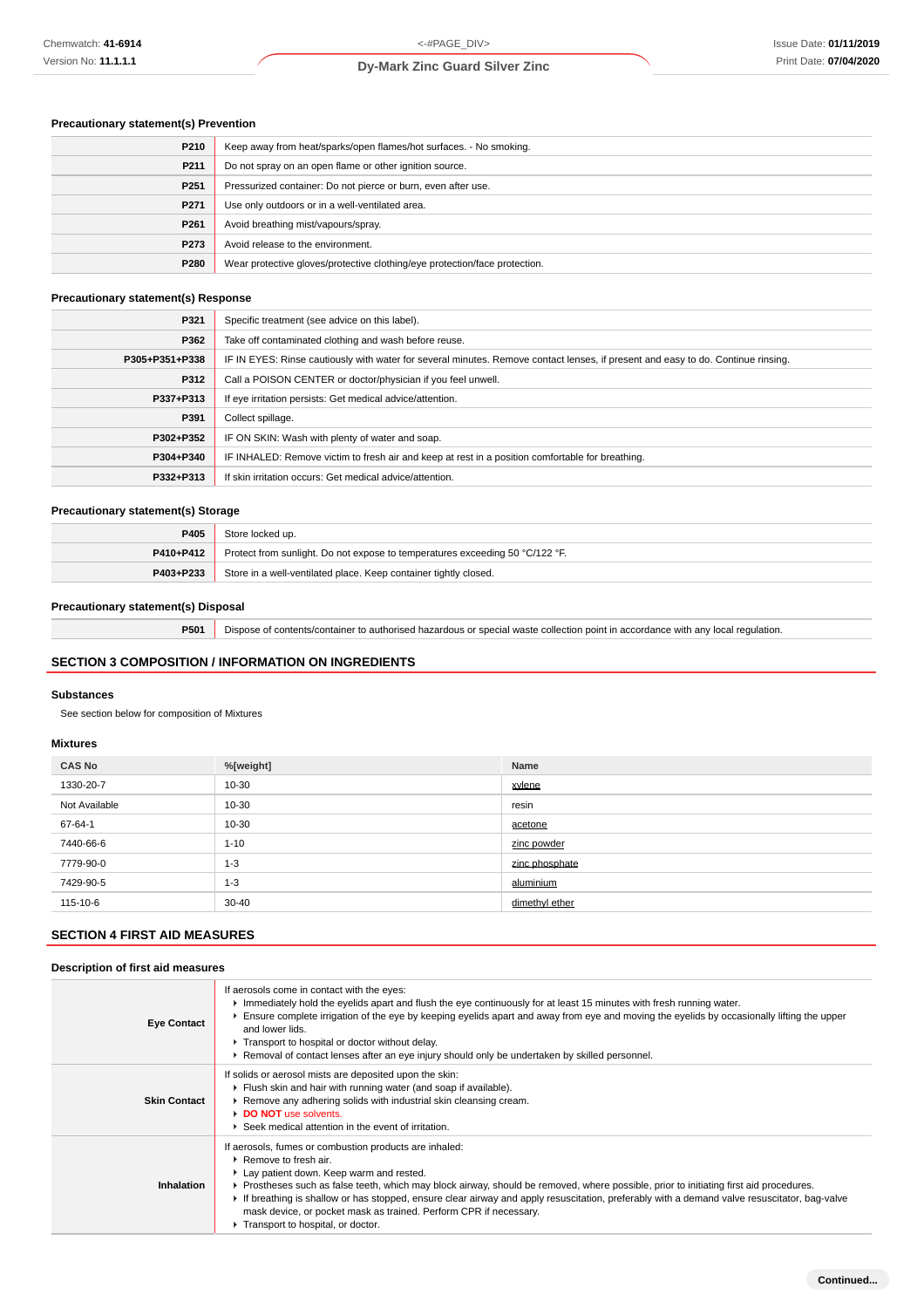### **Precautionary statement(s) Prevention**

| P210             | Keep away from heat/sparks/open flames/hot surfaces. - No smoking.         |
|------------------|----------------------------------------------------------------------------|
| P211             | Do not spray on an open flame or other ignition source.                    |
| P <sub>251</sub> | Pressurized container: Do not pierce or burn, even after use.              |
| P <sub>271</sub> | Use only outdoors or in a well-ventilated area.                            |
| P <sub>261</sub> | Avoid breathing mist/vapours/spray.                                        |
| P273             | Avoid release to the environment.                                          |
| P280             | Wear protective gloves/protective clothing/eye protection/face protection. |

### **Precautionary statement(s) Response**

| P321           | Specific treatment (see advice on this label).                                                                                   |
|----------------|----------------------------------------------------------------------------------------------------------------------------------|
| P362           | Take off contaminated clothing and wash before reuse.                                                                            |
| P305+P351+P338 | IF IN EYES: Rinse cautiously with water for several minutes. Remove contact lenses, if present and easy to do. Continue rinsing. |
| P312           | Call a POISON CENTER or doctor/physician if you feel unwell.                                                                     |
| P337+P313      | If eye irritation persists: Get medical advice/attention.                                                                        |
| P391           | Collect spillage.                                                                                                                |
| P302+P352      | IF ON SKIN: Wash with plenty of water and soap.                                                                                  |
| P304+P340      | IF INHALED: Remove victim to fresh air and keep at rest in a position comfortable for breathing.                                 |
| P332+P313      | If skin irritation occurs: Get medical advice/attention.                                                                         |

### **Precautionary statement(s) Storage**

| P405      | Store locked up.                                                             |
|-----------|------------------------------------------------------------------------------|
| P410+P412 | Protect from sunlight. Do not expose to temperatures exceeding 50 °C/122 °F. |
| P403+P233 | Store in a well-ventilated place. Keep container tightly closed.             |

### **Precautionary statement(s) Disposal**

**P501** Dispose of contents/container to authorised hazardous or special waste collection point in accordance with any local regulation.

### **SECTION 3 COMPOSITION / INFORMATION ON INGREDIENTS**

### **Substances**

See section below for composition of Mixtures

### **Mixtures**

| <b>CAS No</b> | %[weight] | Name           |
|---------------|-----------|----------------|
| 1330-20-7     | 10-30     | xylene         |
| Not Available | 10-30     | resin          |
| 67-64-1       | 10-30     | acetone        |
| 7440-66-6     | $1 - 10$  | zinc powder    |
| 7779-90-0     | $1 - 3$   | zinc phosphate |
| 7429-90-5     | $1 - 3$   | aluminium      |
| 115-10-6      | $30 - 40$ | dimethyl ether |

## **SECTION 4 FIRST AID MEASURES**

**Description of first aid measures**

| Description of first ald measures |                                                                                                                                                                                                                                                                                                                                                                                                                                                                                                                                |  |
|-----------------------------------|--------------------------------------------------------------------------------------------------------------------------------------------------------------------------------------------------------------------------------------------------------------------------------------------------------------------------------------------------------------------------------------------------------------------------------------------------------------------------------------------------------------------------------|--|
| <b>Eye Contact</b>                | If aerosols come in contact with the eyes:<br>Inmediately hold the eyelids apart and flush the eye continuously for at least 15 minutes with fresh running water.<br>Ensure complete irrigation of the eye by keeping eyelids apart and away from eye and moving the eyelids by occasionally lifting the upper<br>and lower lids.<br>Transport to hospital or doctor without delay.<br>Removal of contact lenses after an eye injury should only be undertaken by skilled personnel.                                           |  |
| <b>Skin Contact</b>               | If solids or aerosol mists are deposited upon the skin:<br>Filush skin and hair with running water (and soap if available).<br>▶ Remove any adhering solids with industrial skin cleansing cream.<br>DO NOT use solvents.<br>Seek medical attention in the event of irritation.                                                                                                                                                                                                                                                |  |
| Inhalation                        | If aerosols, fumes or combustion products are inhaled:<br>▶ Remove to fresh air.<br>Lay patient down. Keep warm and rested.<br>▶ Prostheses such as false teeth, which may block airway, should be removed, where possible, prior to initiating first aid procedures.<br>If breathing is shallow or has stopped, ensure clear airway and apply resuscitation, preferably with a demand valve resuscitator, bag-valve<br>mask device, or pocket mask as trained. Perform CPR if necessary.<br>Transport to hospital, or doctor. |  |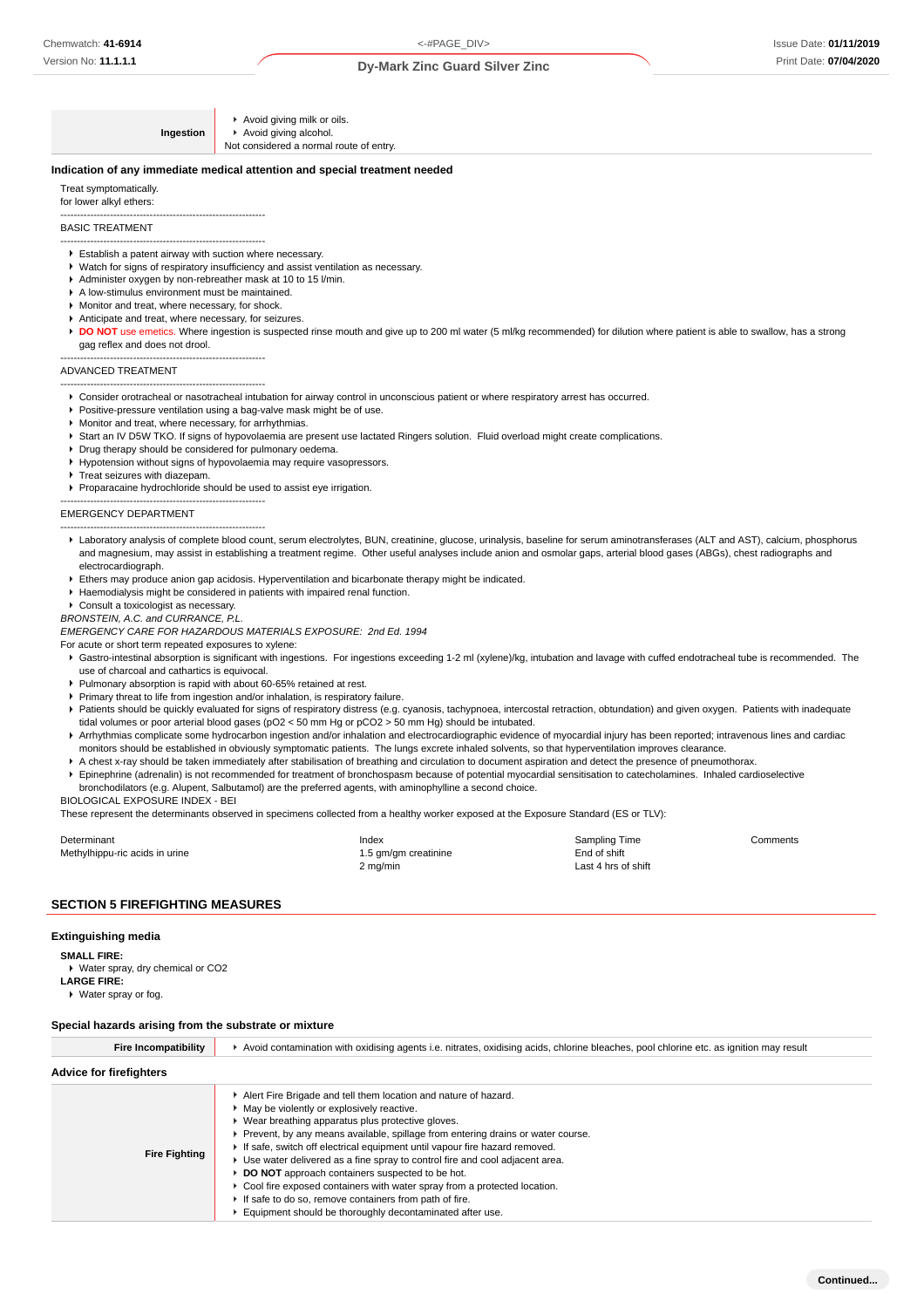**Ingestion** Avoid giving milk or oils. Avoid giving alcohol. Not considered a normal route of entry.

#### **Indication of any immediate medical attention and special treatment needed**

Treat symptomatically. for lower alkyl ethers: --------------------------------------------------------------

### BASIC TREATMENT

- -------------------------------------------------------------- Establish a patent airway with suction where necessary.
- Watch for signs of respiratory insufficiency and assist ventilation as necessary.
- Administer oxygen by non-rebreather mask at 10 to 15 l/min.
- A low-stimulus environment must be maintained.
- **Monitor and treat, where necessary, for shock**
- Anticipate and treat, where necessary, for seizures.

--------------------------------------------------------------

DO NOT use emetics. Where ingestion is suspected rinse mouth and give up to 200 ml water (5 ml/kg recommended) for dilution where patient is able to swallow, has a strong gag reflex and does not drool.

#### ADVANCED TREATMENT

-------------------------------------------------------------- Consider orotracheal or nasotracheal intubation for airway control in unconscious patient or where respiratory arrest has occurred.

- Positive-pressure ventilation using a bag-valve mask might be of use.
- Monitor and treat, where necessary, for arrhythmias.
- ▶ Start an IV D5W TKO. If signs of hypovolaemia are present use lactated Ringers solution. Fluid overload might create complications.
- Drug therapy should be considered for pulmonary oedema.
- Hypotension without signs of hypovolaemia may require vasopressors.
- Treat seizures with diazepam.
- Proparacaine hydrochloride should be used to assist eye irrigation.

#### -------------------------------------------------------------- EMERGENCY DEPARTMENT

- -------------------------------------------------------------- Laboratory analysis of complete blood count, serum electrolytes, BUN, creatinine, glucose, urinalysis, baseline for serum aminotransferases (ALT and AST), calcium, phosphorus and magnesium, may assist in establishing a treatment regime. Other useful analyses include anion and osmolar gaps, arterial blood gases (ABGs), chest radiographs and electrocardiograph.
- Ethers may produce anion gap acidosis. Hyperventilation and bicarbonate therapy might be indicated.
- Haemodialysis might be considered in patients with impaired renal function.
- Consult a toxicologist as necessary.
- BRONSTEIN, A.C. and CURRANCE, P.L.

EMERGENCY CARE FOR HAZARDOUS MATERIALS EXPOSURE: 2nd Ed. 1994

For acute or short term repeated exposures to xylene:

- Gastro-intestinal absorption is significant with ingestions. For ingestions exceeding 1-2 ml (xylene)/kg, intubation and lavage with cuffed endotracheal tube is recommended. The use of charcoal and cathartics is equivocal.
- Pulmonary absorption is rapid with about 60-65% retained at rest.
- Primary threat to life from ingestion and/or inhalation, is respiratory failure.
- 
- Patients should be quickly evaluated for signs of respiratory distress (e.g. cyanosis, tachypnoea, intercostal retraction, obtundation) and given oxygen. Patients with inadequate tidal volumes or poor arterial blood gases (pO2 < 50 mm Hg or pCO2 > 50 mm Hg) should be intubated.
- Arrhythmias complicate some hydrocarbon ingestion and/or inhalation and electrocardiographic evidence of myocardial injury has been reported; intravenous lines and cardiac monitors should be established in obviously symptomatic patients. The lungs excrete inhaled solvents, so that hyperventilation improves clearance.
- A chest x-ray should be taken immediately after stabilisation of breathing and circulation to document aspiration and detect the presence of pneumothorax. Epinephrine (adrenalin) is not recommended for treatment of bronchospasm because of potential myocardial sensitisation to catecholamines. Inhaled cardioselective
- bronchodilators (e.g. Alupent, Salbutamol) are the preferred agents, with aminophylline a second choice.

BIOLOGICAL EXPOSURE INDEX - BEI

These represent the determinants observed in specimens collected from a healthy worker exposed at the Exposure Standard (ES or TLV):

| Determinant                    | Index                | Sampling Time       | Comments |
|--------------------------------|----------------------|---------------------|----------|
| Methylhippu-ric acids in urine | 1.5 gm/gm creatinine | End of shift        |          |
|                                | 2 mg/min             | Last 4 hrs of shift |          |

### **SECTION 5 FIREFIGHTING MEASURES**

#### **Extinguishing media**

**SMALL FIRE:**

Water spray, dry chemical or CO2 **LARGE FIRE:** Water spray or fog.

#### **Special hazards arising from the substrate or mixture**

| <b>Fire Incompatibility</b>    | ► Avoid contamination with oxidising agents i.e. nitrates, oxidising acids, chlorine bleaches, pool chlorine etc. as ignition may result                                                                                                                                                                                                                                                                                                                                                                                                                                                                                                                                        |
|--------------------------------|---------------------------------------------------------------------------------------------------------------------------------------------------------------------------------------------------------------------------------------------------------------------------------------------------------------------------------------------------------------------------------------------------------------------------------------------------------------------------------------------------------------------------------------------------------------------------------------------------------------------------------------------------------------------------------|
| <b>Advice for firefighters</b> |                                                                                                                                                                                                                                                                                                                                                                                                                                                                                                                                                                                                                                                                                 |
| <b>Fire Fighting</b>           | Alert Fire Brigade and tell them location and nature of hazard.<br>• May be violently or explosively reactive.<br>• Wear breathing apparatus plus protective gloves.<br>Prevent, by any means available, spillage from entering drains or water course.<br>If safe, switch off electrical equipment until vapour fire hazard removed.<br>► Use water delivered as a fine spray to control fire and cool adjacent area.<br>▶ DO NOT approach containers suspected to be hot.<br>• Cool fire exposed containers with water spray from a protected location.<br>If safe to do so, remove containers from path of fire.<br>Equipment should be thoroughly decontaminated after use. |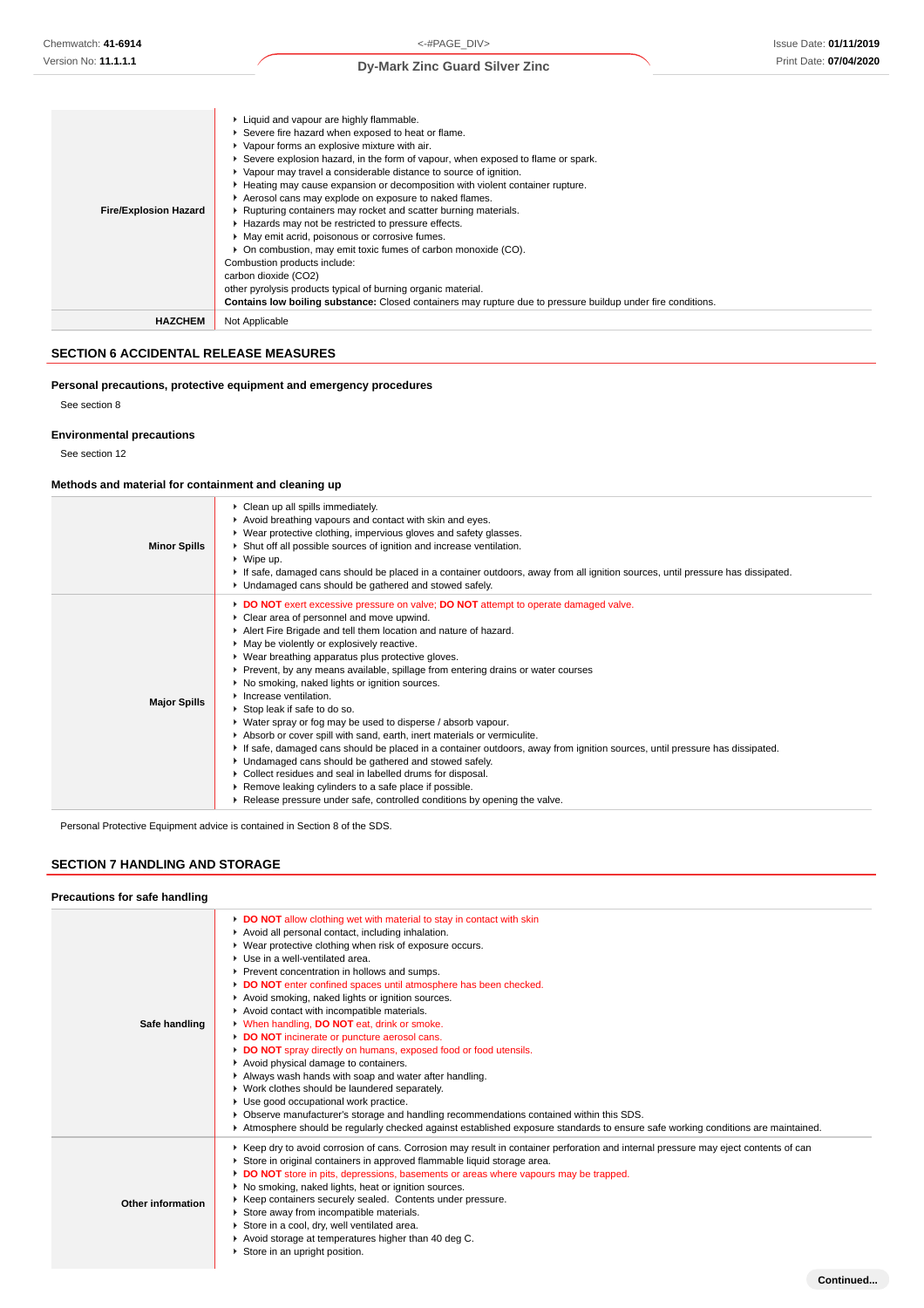| <b>Fire/Explosion Hazard</b> | ► Liquid and vapour are highly flammable.<br>▶ Severe fire hazard when exposed to heat or flame.<br>▶ Vapour forms an explosive mixture with air.<br>Severe explosion hazard, in the form of vapour, when exposed to flame or spark.<br>▶ Vapour may travel a considerable distance to source of ignition.<br>Heating may cause expansion or decomposition with violent container rupture.<br>Aerosol cans may explode on exposure to naked flames.<br>▶ Rupturing containers may rocket and scatter burning materials.<br>▶ Hazards may not be restricted to pressure effects.<br>• May emit acrid, poisonous or corrosive fumes.<br>• On combustion, may emit toxic fumes of carbon monoxide (CO).<br>Combustion products include:<br>carbon dioxide (CO2)<br>other pyrolysis products typical of burning organic material.<br>Contains low boiling substance: Closed containers may rupture due to pressure buildup under fire conditions. |
|------------------------------|-----------------------------------------------------------------------------------------------------------------------------------------------------------------------------------------------------------------------------------------------------------------------------------------------------------------------------------------------------------------------------------------------------------------------------------------------------------------------------------------------------------------------------------------------------------------------------------------------------------------------------------------------------------------------------------------------------------------------------------------------------------------------------------------------------------------------------------------------------------------------------------------------------------------------------------------------|
| <b>HAZCHEM</b>               | Not Applicable                                                                                                                                                                                                                                                                                                                                                                                                                                                                                                                                                                                                                                                                                                                                                                                                                                                                                                                                |

### **SECTION 6 ACCIDENTAL RELEASE MEASURES**

### **Personal precautions, protective equipment and emergency procedures**

See section 8

**Environmental precautions**

See section 12

### **Methods and material for containment and cleaning up**

| <b>Minor Spills</b> | Clean up all spills immediately.<br>Avoid breathing vapours and contact with skin and eyes.<br>▶ Wear protective clothing, impervious gloves and safety glasses.<br>▶ Shut off all possible sources of ignition and increase ventilation.<br>$\triangleright$ Wipe up.<br>If safe, damaged cans should be placed in a container outdoors, away from all ignition sources, until pressure has dissipated.<br>• Undamaged cans should be gathered and stowed safely.                                                                                                                                                                                                                                                                                                                                                                                                                                                                                                                                                                                 |
|---------------------|----------------------------------------------------------------------------------------------------------------------------------------------------------------------------------------------------------------------------------------------------------------------------------------------------------------------------------------------------------------------------------------------------------------------------------------------------------------------------------------------------------------------------------------------------------------------------------------------------------------------------------------------------------------------------------------------------------------------------------------------------------------------------------------------------------------------------------------------------------------------------------------------------------------------------------------------------------------------------------------------------------------------------------------------------|
| <b>Major Spills</b> | DO NOT exert excessive pressure on valve; DO NOT attempt to operate damaged valve.<br>• Clear area of personnel and move upwind.<br>Alert Fire Brigade and tell them location and nature of hazard.<br>• May be violently or explosively reactive.<br>▶ Wear breathing apparatus plus protective gloves.<br>▶ Prevent, by any means available, spillage from entering drains or water courses<br>▶ No smoking, naked lights or ignition sources.<br>Increase ventilation.<br>Stop leak if safe to do so.<br>▶ Water spray or fog may be used to disperse / absorb vapour.<br>Absorb or cover spill with sand, earth, inert materials or vermiculite.<br>If safe, damaged cans should be placed in a container outdoors, away from ignition sources, until pressure has dissipated.<br>• Undamaged cans should be gathered and stowed safely.<br>Collect residues and seal in labelled drums for disposal.<br>▶ Remove leaking cylinders to a safe place if possible.<br>► Release pressure under safe, controlled conditions by opening the valve. |

Personal Protective Equipment advice is contained in Section 8 of the SDS.

### **SECTION 7 HANDLING AND STORAGE**

| Precautions for safe handling |                                                                                                                                                                                                                                                                                                                                                                                                                                                                                                                                                                                                                                                                                                                                                                                                                                                                                                                                                                                                                                         |
|-------------------------------|-----------------------------------------------------------------------------------------------------------------------------------------------------------------------------------------------------------------------------------------------------------------------------------------------------------------------------------------------------------------------------------------------------------------------------------------------------------------------------------------------------------------------------------------------------------------------------------------------------------------------------------------------------------------------------------------------------------------------------------------------------------------------------------------------------------------------------------------------------------------------------------------------------------------------------------------------------------------------------------------------------------------------------------------|
| Safe handling                 | DO NOT allow clothing wet with material to stay in contact with skin<br>Avoid all personal contact, including inhalation.<br>▶ Wear protective clothing when risk of exposure occurs.<br>Use in a well-ventilated area.<br>Prevent concentration in hollows and sumps.<br>DO NOT enter confined spaces until atmosphere has been checked.<br>Avoid smoking, naked lights or ignition sources.<br>Avoid contact with incompatible materials.<br>V When handling, DO NOT eat, drink or smoke.<br>DO NOT incinerate or puncture aerosol cans.<br>DO NOT spray directly on humans, exposed food or food utensils.<br>Avoid physical damage to containers.<br>Always wash hands with soap and water after handling.<br>▶ Work clothes should be laundered separately.<br>Use good occupational work practice.<br>▶ Observe manufacturer's storage and handling recommendations contained within this SDS.<br>Atmosphere should be regularly checked against established exposure standards to ensure safe working conditions are maintained. |
| Other information             | ▶ Keep dry to avoid corrosion of cans. Corrosion may result in container perforation and internal pressure may eject contents of can<br>Store in original containers in approved flammable liquid storage area.<br>DO NOT store in pits, depressions, basements or areas where vapours may be trapped.<br>▶ No smoking, naked lights, heat or ignition sources.<br>▶ Keep containers securely sealed. Contents under pressure.<br>Store away from incompatible materials.<br>Store in a cool, dry, well ventilated area.<br>Avoid storage at temperatures higher than 40 deg C.<br>▶ Store in an upright position.                                                                                                                                                                                                                                                                                                                                                                                                                      |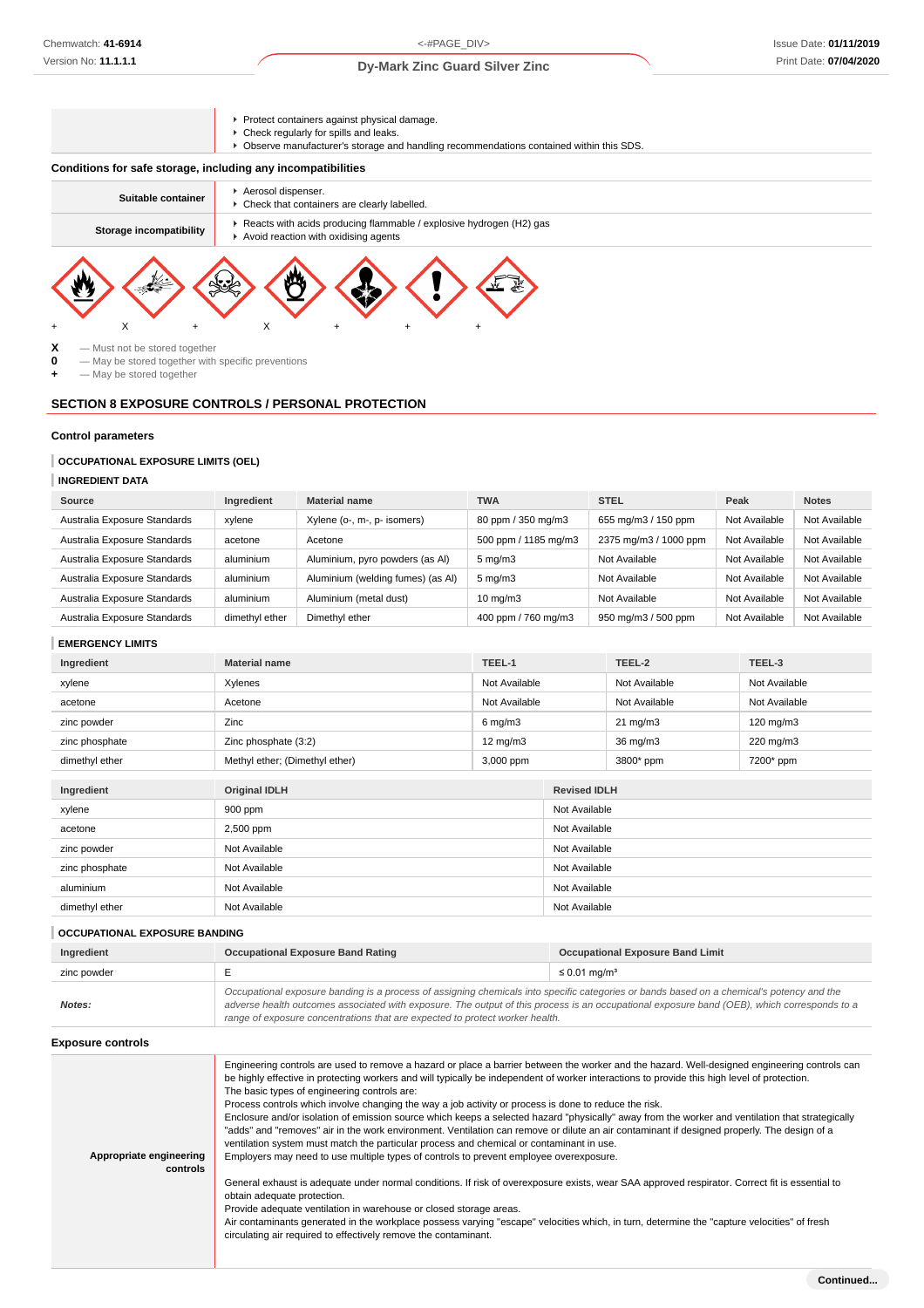Protect containers against physical damage.

Ŷ

- Check regularly for spills and leaks.
- Observe manufacturer's storage and handling recommendations contained within this SDS.

### **Conditions for safe storage, including any incompatibilities**

| Suitable container      | Aerosol dispenser.<br>• Check that containers are clearly labelled.                                         |
|-------------------------|-------------------------------------------------------------------------------------------------------------|
| Storage incompatibility | Reacts with acids producing flammable / explosive hydrogen (H2) gas<br>Avoid reaction with oxidising agents |
|                         | <b>MA</b><br>$\Delta$                                                                                       |



**0** — May be stored together with specific preventions

**+** — May be stored together

### **SECTION 8 EXPOSURE CONTROLS / PERSONAL PROTECTION**

+ X + X + + +

### **Control parameters**

### **OCCUPATIONAL EXPOSURE LIMITS (OEL)**

**INGREDIENT DATA**

| Source                       | Ingredient     | <b>Material name</b>              | <b>TWA</b>           | <b>STEL</b>           | Peak          | <b>Notes</b>  |
|------------------------------|----------------|-----------------------------------|----------------------|-----------------------|---------------|---------------|
| Australia Exposure Standards | xvlene         | Xylene (o-, m-, p- isomers)       | 80 ppm / 350 mg/m3   | 655 mg/m3 / 150 ppm   | Not Available | Not Available |
| Australia Exposure Standards | acetone        | Acetone                           | 500 ppm / 1185 mg/m3 | 2375 mg/m3 / 1000 ppm | Not Available | Not Available |
| Australia Exposure Standards | aluminium      | Aluminium, pyro powders (as Al)   | $5 \text{ mg/m}$ 3   | Not Available         | Not Available | Not Available |
| Australia Exposure Standards | aluminium      | Aluminium (welding fumes) (as Al) | $5 \text{ mg/m}$     | Not Available         | Not Available | Not Available |
| Australia Exposure Standards | aluminium      | Aluminium (metal dust)            | $10 \text{ mg/m}$    | Not Available         | Not Available | Not Available |
| Australia Exposure Standards | dimethyl ether | Dimethyl ether                    | 400 ppm / 760 mg/m3  | 950 mg/m3 / 500 ppm   | Not Available | Not Available |

#### **EMERGENCY LIMITS**

| Ingredient     | <b>Material name</b>           | TEEL-1            |               | TEEL-2              | TEEL-3             |  |
|----------------|--------------------------------|-------------------|---------------|---------------------|--------------------|--|
| xylene         | Xylenes                        | Not Available     |               | Not Available       | Not Available      |  |
| acetone        | Acetone                        | Not Available     |               | Not Available       | Not Available      |  |
| zinc powder    | Zinc                           | $6$ mg/m $3$      |               | $21 \text{ mg/m}$   | $120 \text{ mg/m}$ |  |
| zinc phosphate | Zinc phosphate (3:2)           | $12 \text{ mg/m}$ |               | 36 mg/m3            | 220 mg/m3          |  |
| dimethyl ether | Methyl ether; (Dimethyl ether) | 3,000 ppm         |               | 3800* ppm           | 7200* ppm          |  |
|                |                                |                   |               |                     |                    |  |
| Ingredient     | <b>Original IDLH</b>           |                   |               | <b>Revised IDLH</b> |                    |  |
| xylene         | 900 ppm                        |                   | Not Available |                     |                    |  |
| acetone        | 2,500 ppm                      |                   |               | Not Available       |                    |  |
| zinc powder    | Not Available                  |                   | Not Available |                     |                    |  |
| zinc phosphate | Not Available                  |                   | Not Available |                     |                    |  |
| aluminium      | Not Available                  |                   | Not Available |                     |                    |  |
| dimethyl ether | Not Available                  |                   | Not Available |                     |                    |  |
|                |                                |                   |               |                     |                    |  |

**OCCUPATIONAL EXPOSURE BANDING**

| Ingredient  | Occupational Exposure Band Rating                                                                                                           | <b>Occupational Exposure Band Limit</b> |  |
|-------------|---------------------------------------------------------------------------------------------------------------------------------------------|-----------------------------------------|--|
| zinc powder |                                                                                                                                             | $\leq 0.01$ mg/m <sup>3</sup>           |  |
|             | Occupational exposure banding is a process of assigning chemicals into specific categories or bands based on a chemical's potency and the   |                                         |  |
| Notes:      | adverse health outcomes associated with exposure. The output of this process is an occupational exposure band (OEB), which corresponds to a |                                         |  |

range of exposure concentrations that are expected to protect worker health.

**Exposure controls**

| Appropriate engineering<br>controls | Engineering controls are used to remove a hazard or place a barrier between the worker and the hazard. Well-designed engineering controls can<br>be highly effective in protecting workers and will typically be independent of worker interactions to provide this high level of protection.<br>The basic types of engineering controls are:<br>Process controls which involve changing the way a job activity or process is done to reduce the risk.<br>Enclosure and/or isolation of emission source which keeps a selected hazard "physically" away from the worker and ventilation that strategically<br>"adds" and "removes" air in the work environment. Ventilation can remove or dilute an air contaminant if designed properly. The design of a<br>ventilation system must match the particular process and chemical or contaminant in use.<br>Employers may need to use multiple types of controls to prevent employee overexposure.<br>General exhaust is adequate under normal conditions. If risk of overexposure exists, wear SAA approved respirator. Correct fit is essential to<br>obtain adequate protection.<br>Provide adequate ventilation in warehouse or closed storage areas.<br>Air contaminants generated in the workplace possess varying "escape" velocities which, in turn, determine the "capture velocities" of fresh<br>circulating air required to effectively remove the contaminant. |
|-------------------------------------|--------------------------------------------------------------------------------------------------------------------------------------------------------------------------------------------------------------------------------------------------------------------------------------------------------------------------------------------------------------------------------------------------------------------------------------------------------------------------------------------------------------------------------------------------------------------------------------------------------------------------------------------------------------------------------------------------------------------------------------------------------------------------------------------------------------------------------------------------------------------------------------------------------------------------------------------------------------------------------------------------------------------------------------------------------------------------------------------------------------------------------------------------------------------------------------------------------------------------------------------------------------------------------------------------------------------------------------------------------------------------------------------------------------------------|
|                                     |                                                                                                                                                                                                                                                                                                                                                                                                                                                                                                                                                                                                                                                                                                                                                                                                                                                                                                                                                                                                                                                                                                                                                                                                                                                                                                                                                                                                                          |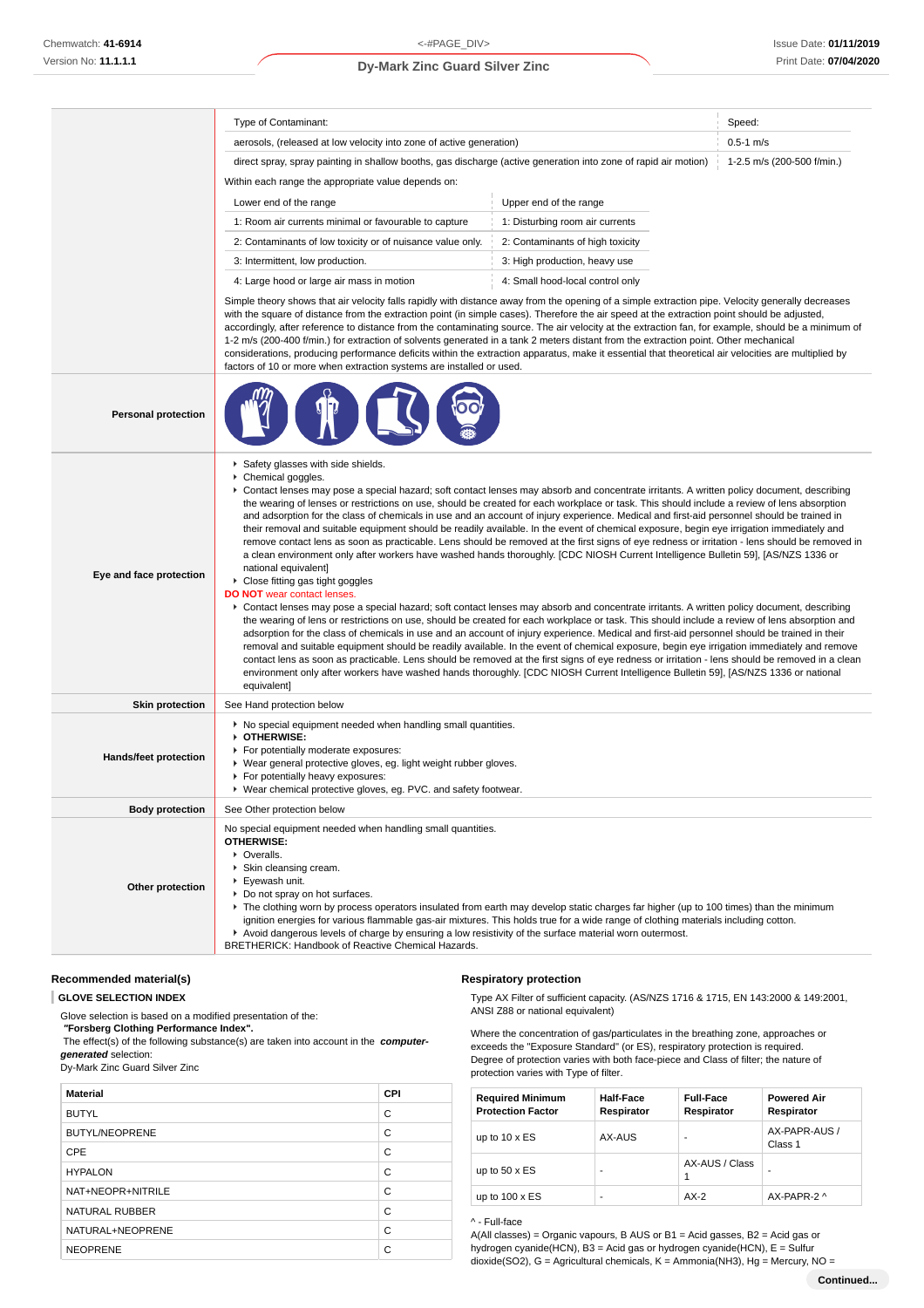|                              | Type of Contaminant:                                                                                                                                                                                                                                                                                                                                                                                                                                                                                                                                                                                                                                                                                                                                                                                                                                                                                                                                                                                                                                                                                                                                                                                                                                                                                                                                                                                                                                                                                                                                                                                                                                                                                                                                                                                                                                                                                                                            | Speed:                                                                                                                                                                                                                                                                                                                                                                                                                                                                                                                                                                                                                                                                                                                                                  |                            |  |  |
|------------------------------|-------------------------------------------------------------------------------------------------------------------------------------------------------------------------------------------------------------------------------------------------------------------------------------------------------------------------------------------------------------------------------------------------------------------------------------------------------------------------------------------------------------------------------------------------------------------------------------------------------------------------------------------------------------------------------------------------------------------------------------------------------------------------------------------------------------------------------------------------------------------------------------------------------------------------------------------------------------------------------------------------------------------------------------------------------------------------------------------------------------------------------------------------------------------------------------------------------------------------------------------------------------------------------------------------------------------------------------------------------------------------------------------------------------------------------------------------------------------------------------------------------------------------------------------------------------------------------------------------------------------------------------------------------------------------------------------------------------------------------------------------------------------------------------------------------------------------------------------------------------------------------------------------------------------------------------------------|---------------------------------------------------------------------------------------------------------------------------------------------------------------------------------------------------------------------------------------------------------------------------------------------------------------------------------------------------------------------------------------------------------------------------------------------------------------------------------------------------------------------------------------------------------------------------------------------------------------------------------------------------------------------------------------------------------------------------------------------------------|----------------------------|--|--|
|                              | aerosols, (released at low velocity into zone of active generation)                                                                                                                                                                                                                                                                                                                                                                                                                                                                                                                                                                                                                                                                                                                                                                                                                                                                                                                                                                                                                                                                                                                                                                                                                                                                                                                                                                                                                                                                                                                                                                                                                                                                                                                                                                                                                                                                             | $0.5 - 1$ m/s                                                                                                                                                                                                                                                                                                                                                                                                                                                                                                                                                                                                                                                                                                                                           |                            |  |  |
|                              | direct spray, spray painting in shallow booths, gas discharge (active generation into zone of rapid air motion)                                                                                                                                                                                                                                                                                                                                                                                                                                                                                                                                                                                                                                                                                                                                                                                                                                                                                                                                                                                                                                                                                                                                                                                                                                                                                                                                                                                                                                                                                                                                                                                                                                                                                                                                                                                                                                 |                                                                                                                                                                                                                                                                                                                                                                                                                                                                                                                                                                                                                                                                                                                                                         | 1-2.5 m/s (200-500 f/min.) |  |  |
|                              | Within each range the appropriate value depends on:                                                                                                                                                                                                                                                                                                                                                                                                                                                                                                                                                                                                                                                                                                                                                                                                                                                                                                                                                                                                                                                                                                                                                                                                                                                                                                                                                                                                                                                                                                                                                                                                                                                                                                                                                                                                                                                                                             |                                                                                                                                                                                                                                                                                                                                                                                                                                                                                                                                                                                                                                                                                                                                                         |                            |  |  |
|                              | Upper end of the range<br>Lower end of the range                                                                                                                                                                                                                                                                                                                                                                                                                                                                                                                                                                                                                                                                                                                                                                                                                                                                                                                                                                                                                                                                                                                                                                                                                                                                                                                                                                                                                                                                                                                                                                                                                                                                                                                                                                                                                                                                                                |                                                                                                                                                                                                                                                                                                                                                                                                                                                                                                                                                                                                                                                                                                                                                         |                            |  |  |
|                              | 1: Room air currents minimal or favourable to capture                                                                                                                                                                                                                                                                                                                                                                                                                                                                                                                                                                                                                                                                                                                                                                                                                                                                                                                                                                                                                                                                                                                                                                                                                                                                                                                                                                                                                                                                                                                                                                                                                                                                                                                                                                                                                                                                                           | 1: Disturbing room air currents                                                                                                                                                                                                                                                                                                                                                                                                                                                                                                                                                                                                                                                                                                                         |                            |  |  |
|                              | 2: Contaminants of low toxicity or of nuisance value only.                                                                                                                                                                                                                                                                                                                                                                                                                                                                                                                                                                                                                                                                                                                                                                                                                                                                                                                                                                                                                                                                                                                                                                                                                                                                                                                                                                                                                                                                                                                                                                                                                                                                                                                                                                                                                                                                                      | 2: Contaminants of high toxicity                                                                                                                                                                                                                                                                                                                                                                                                                                                                                                                                                                                                                                                                                                                        |                            |  |  |
|                              | 3: Intermittent, low production.                                                                                                                                                                                                                                                                                                                                                                                                                                                                                                                                                                                                                                                                                                                                                                                                                                                                                                                                                                                                                                                                                                                                                                                                                                                                                                                                                                                                                                                                                                                                                                                                                                                                                                                                                                                                                                                                                                                | 3: High production, heavy use                                                                                                                                                                                                                                                                                                                                                                                                                                                                                                                                                                                                                                                                                                                           |                            |  |  |
|                              | 4: Large hood or large air mass in motion                                                                                                                                                                                                                                                                                                                                                                                                                                                                                                                                                                                                                                                                                                                                                                                                                                                                                                                                                                                                                                                                                                                                                                                                                                                                                                                                                                                                                                                                                                                                                                                                                                                                                                                                                                                                                                                                                                       | 4: Small hood-local control only                                                                                                                                                                                                                                                                                                                                                                                                                                                                                                                                                                                                                                                                                                                        |                            |  |  |
|                              | factors of 10 or more when extraction systems are installed or used.                                                                                                                                                                                                                                                                                                                                                                                                                                                                                                                                                                                                                                                                                                                                                                                                                                                                                                                                                                                                                                                                                                                                                                                                                                                                                                                                                                                                                                                                                                                                                                                                                                                                                                                                                                                                                                                                            | Simple theory shows that air velocity falls rapidly with distance away from the opening of a simple extraction pipe. Velocity generally decreases<br>with the square of distance from the extraction point (in simple cases). Therefore the air speed at the extraction point should be adjusted,<br>accordingly, after reference to distance from the contaminating source. The air velocity at the extraction fan, for example, should be a minimum of<br>1-2 m/s (200-400 f/min.) for extraction of solvents generated in a tank 2 meters distant from the extraction point. Other mechanical<br>considerations, producing performance deficits within the extraction apparatus, make it essential that theoretical air velocities are multiplied by |                            |  |  |
| <b>Personal protection</b>   |                                                                                                                                                                                                                                                                                                                                                                                                                                                                                                                                                                                                                                                                                                                                                                                                                                                                                                                                                                                                                                                                                                                                                                                                                                                                                                                                                                                                                                                                                                                                                                                                                                                                                                                                                                                                                                                                                                                                                 |                                                                                                                                                                                                                                                                                                                                                                                                                                                                                                                                                                                                                                                                                                                                                         |                            |  |  |
| Eye and face protection      | Safety glasses with side shields.<br>Chemical goggles.<br>▶ Contact lenses may pose a special hazard; soft contact lenses may absorb and concentrate irritants. A written policy document, describing<br>the wearing of lenses or restrictions on use, should be created for each workplace or task. This should include a review of lens absorption<br>and adsorption for the class of chemicals in use and an account of injury experience. Medical and first-aid personnel should be trained in<br>their removal and suitable equipment should be readily available. In the event of chemical exposure, begin eye irrigation immediately and<br>remove contact lens as soon as practicable. Lens should be removed at the first signs of eye redness or irritation - lens should be removed in<br>a clean environment only after workers have washed hands thoroughly. [CDC NIOSH Current Intelligence Bulletin 59], [AS/NZS 1336 or<br>national equivalent]<br>Close fitting gas tight goggles<br><b>DO NOT</b> wear contact lenses.<br>▶ Contact lenses may pose a special hazard; soft contact lenses may absorb and concentrate irritants. A written policy document, describing<br>the wearing of lens or restrictions on use, should be created for each workplace or task. This should include a review of lens absorption and<br>adsorption for the class of chemicals in use and an account of injury experience. Medical and first-aid personnel should be trained in their<br>removal and suitable equipment should be readily available. In the event of chemical exposure, begin eye irrigation immediately and remove<br>contact lens as soon as practicable. Lens should be removed at the first signs of eye redness or irritation - lens should be removed in a clean<br>environment only after workers have washed hands thoroughly. [CDC NIOSH Current Intelligence Bulletin 59], [AS/NZS 1336 or national<br>equivalent] |                                                                                                                                                                                                                                                                                                                                                                                                                                                                                                                                                                                                                                                                                                                                                         |                            |  |  |
| <b>Skin protection</b>       | See Hand protection below                                                                                                                                                                                                                                                                                                                                                                                                                                                                                                                                                                                                                                                                                                                                                                                                                                                                                                                                                                                                                                                                                                                                                                                                                                                                                                                                                                                                                                                                                                                                                                                                                                                                                                                                                                                                                                                                                                                       |                                                                                                                                                                                                                                                                                                                                                                                                                                                                                                                                                                                                                                                                                                                                                         |                            |  |  |
| <b>Hands/feet protection</b> | ▶ No special equipment needed when handling small quantities.<br>OTHERWISE:<br>For potentially moderate exposures:<br>▶ Wear general protective gloves, eg. light weight rubber gloves.<br>For potentially heavy exposures:<br>▶ Wear chemical protective gloves, eg. PVC. and safety footwear.                                                                                                                                                                                                                                                                                                                                                                                                                                                                                                                                                                                                                                                                                                                                                                                                                                                                                                                                                                                                                                                                                                                                                                                                                                                                                                                                                                                                                                                                                                                                                                                                                                                 |                                                                                                                                                                                                                                                                                                                                                                                                                                                                                                                                                                                                                                                                                                                                                         |                            |  |  |
| <b>Body protection</b>       | See Other protection below                                                                                                                                                                                                                                                                                                                                                                                                                                                                                                                                                                                                                                                                                                                                                                                                                                                                                                                                                                                                                                                                                                                                                                                                                                                                                                                                                                                                                                                                                                                                                                                                                                                                                                                                                                                                                                                                                                                      |                                                                                                                                                                                                                                                                                                                                                                                                                                                                                                                                                                                                                                                                                                                                                         |                            |  |  |
| Other protection             | No special equipment needed when handling small quantities.<br><b>OTHERWISE:</b><br>• Overalls.<br>▶ Skin cleansing cream.<br>▶ Eyewash unit.<br>Do not spray on hot surfaces.<br>▶ The clothing worn by process operators insulated from earth may develop static charges far higher (up to 100 times) than the minimum<br>ignition energies for various flammable gas-air mixtures. This holds true for a wide range of clothing materials including cotton.<br>Avoid dangerous levels of charge by ensuring a low resistivity of the surface material worn outermost.<br>BRETHERICK: Handbook of Reactive Chemical Hazards.                                                                                                                                                                                                                                                                                                                                                                                                                                                                                                                                                                                                                                                                                                                                                                                                                                                                                                                                                                                                                                                                                                                                                                                                                                                                                                                  |                                                                                                                                                                                                                                                                                                                                                                                                                                                                                                                                                                                                                                                                                                                                                         |                            |  |  |

#### **Recommended material(s)**

#### **GLOVE SELECTION INDEX**

Glove selection is based on a modified presentation of the:

 **"Forsberg Clothing Performance Index".** The effect(s) of the following substance(s) are taken into account in the **computer-**

**generated** selection:

Dy-Mark Zinc Guard Silver Zinc

| <b>Material</b>       | CPI |
|-----------------------|-----|
| <b>BUTYL</b>          | C   |
| <b>BUTYL/NEOPRENE</b> | C   |
| CPE                   | C   |
| <b>HYPALON</b>        | C   |
| NAT+NEOPR+NITRILE     | C   |
| NATURAL RUBBER        | C   |
| NATURAL+NEOPRENE      | C   |
| <b>NEOPRENE</b>       | C   |

### **Respiratory protection**

Type AX Filter of sufficient capacity. (AS/NZS 1716 & 1715, EN 143:2000 & 149:2001, ANSI Z88 or national equivalent)

Where the concentration of gas/particulates in the breathing zone, approaches or exceeds the "Exposure Standard" (or ES), respiratory protection is required. Degree of protection varies with both face-piece and Class of filter; the nature of protection varies with Type of filter.

| <b>Required Minimum</b><br><b>Protection Factor</b> | <b>Half-Face</b><br>Respirator | <b>Full-Face</b><br>Respirator | <b>Powered Air</b><br>Respirator |
|-----------------------------------------------------|--------------------------------|--------------------------------|----------------------------------|
| up to $10 \times ES$                                | AX-AUS                         |                                | AX-PAPR-AUS /<br>Class 1         |
| up to $50 \times ES$                                | -                              | AX-AUS / Class                 | -                                |
| up to $100 \times ES$                               | -                              | $AX-2$                         | AX-PAPR-2 ^                      |

#### ^ - Full-face

A(All classes) = Organic vapours, B AUS or B1 = Acid gasses, B2 = Acid gas or hydrogen cyanide(HCN), B3 = Acid gas or hydrogen cyanide(HCN), E = Sulfur dioxide(SO2), G = Agricultural chemicals, K = Ammonia(NH3), Hg = Mercury, NO =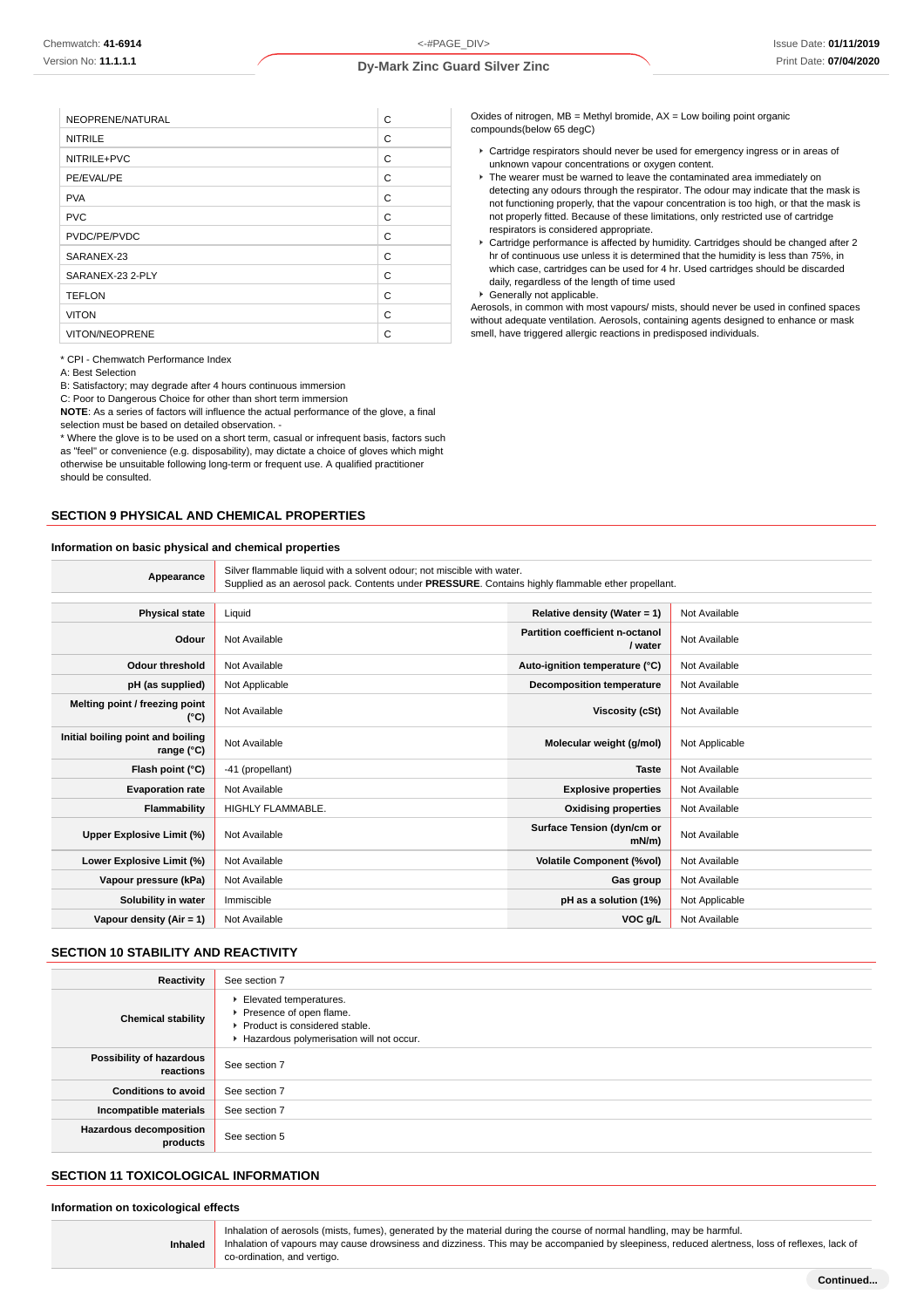| NEOPRENE/NATURAL | C |
|------------------|---|
| <b>NITRILE</b>   | C |
| NITRILE+PVC      | C |
| PE/EVAL/PE       | C |
| <b>PVA</b>       | C |
| <b>PVC</b>       | C |
| PVDC/PE/PVDC     | C |
| SARANEX-23       | C |
| SARANEX-23 2-PLY | C |
| <b>TEFLON</b>    | C |
| <b>VITON</b>     | C |
| VITON/NEOPRENE   | C |

\* CPI - Chemwatch Performance Index

A: Best Selection

B: Satisfactory; may degrade after 4 hours continuous immersion

C: Poor to Dangerous Choice for other than short term immersion

**NOTE**: As a series of factors will influence the actual performance of the glove, a final selection must be based on detailed observation. -

\* Where the glove is to be used on a short term, casual or infrequent basis, factors such as "feel" or convenience (e.g. disposability), may dictate a choice of gloves which might otherwise be unsuitable following long-term or frequent use. A qualified practitioner should be consulted.

### **SECTION 9 PHYSICAL AND CHEMICAL PROPERTIES**

#### **Information on basic physical and chemical properties**

Cartridge respirators should never be used for emergency ingress or in areas of unknown vapour concentrations or oxygen content.

Oxides of nitrogen, MB = Methyl bromide, AX = Low boiling point organic

- ▶ The wearer must be warned to leave the contaminated area immediately on detecting any odours through the respirator. The odour may indicate that the mask is not functioning properly, that the vapour concentration is too high, or that the mask is not properly fitted. Because of these limitations, only restricted use of cartridge respirators is considered appropriate.
- Cartridge performance is affected by humidity. Cartridges should be changed after 2 hr of continuous use unless it is determined that the humidity is less than 75%, in which case, cartridges can be used for 4 hr. Used cartridges should be discarded daily, regardless of the length of time used
- Generally not applicable.

compounds(below 65 degC)

Aerosols, in common with most vapours/ mists, should never be used in confined spaces without adequate ventilation. Aerosols, containing agents designed to enhance or mask smell, have triggered allergic reactions in predisposed individuals.

| Information on basic physical and chemical properties |                                                                                                                                                                             |                                            |                |
|-------------------------------------------------------|-----------------------------------------------------------------------------------------------------------------------------------------------------------------------------|--------------------------------------------|----------------|
| Appearance                                            | Silver flammable liquid with a solvent odour; not miscible with water.<br>Supplied as an aerosol pack. Contents under PRESSURE. Contains highly flammable ether propellant. |                                            |                |
|                                                       |                                                                                                                                                                             |                                            |                |
| <b>Physical state</b>                                 | Liquid                                                                                                                                                                      | Relative density (Water = $1$ )            | Not Available  |
| Odour                                                 | Not Available                                                                                                                                                               | Partition coefficient n-octanol<br>/ water | Not Available  |
| <b>Odour threshold</b>                                | Not Available                                                                                                                                                               | Auto-ignition temperature (°C)             | Not Available  |
| pH (as supplied)                                      | Not Applicable                                                                                                                                                              | <b>Decomposition temperature</b>           | Not Available  |
| Melting point / freezing point<br>(°C)                | Not Available                                                                                                                                                               | <b>Viscosity (cSt)</b>                     | Not Available  |
| Initial boiling point and boiling<br>range (°C)       | Not Available                                                                                                                                                               | Molecular weight (g/mol)                   | Not Applicable |
| Flash point (°C)                                      | -41 (propellant)                                                                                                                                                            | <b>Taste</b>                               | Not Available  |
| <b>Evaporation rate</b>                               | Not Available                                                                                                                                                               | <b>Explosive properties</b>                | Not Available  |
| Flammability                                          | HIGHLY FLAMMABLE.                                                                                                                                                           | <b>Oxidising properties</b>                | Not Available  |
| Upper Explosive Limit (%)                             | Not Available                                                                                                                                                               | Surface Tension (dyn/cm or<br>$mN/m$ )     | Not Available  |
| Lower Explosive Limit (%)                             | Not Available                                                                                                                                                               | <b>Volatile Component (%vol)</b>           | Not Available  |
| Vapour pressure (kPa)                                 | Not Available                                                                                                                                                               | Gas group                                  | Not Available  |
| Solubility in water                                   | Immiscible                                                                                                                                                                  | pH as a solution (1%)                      | Not Applicable |
| Vapour density $(Air = 1)$                            | Not Available                                                                                                                                                               | VOC g/L                                    | Not Available  |
|                                                       |                                                                                                                                                                             |                                            |                |

### **SECTION 10 STABILITY AND REACTIVITY**

| Reactivity                                 | See section 7                                                                                                                  |
|--------------------------------------------|--------------------------------------------------------------------------------------------------------------------------------|
| <b>Chemical stability</b>                  | Elevated temperatures.<br>Presence of open flame.<br>Product is considered stable.<br>Hazardous polymerisation will not occur. |
| Possibility of hazardous<br>reactions      | See section 7                                                                                                                  |
| <b>Conditions to avoid</b>                 | See section 7                                                                                                                  |
| Incompatible materials                     | See section 7                                                                                                                  |
| <b>Hazardous decomposition</b><br>products | See section 5                                                                                                                  |

#### **SECTION 11 TOXICOLOGICAL INFORMATION**

#### **Information on toxicological effects**

|                | Inhalation of aerosols (mists, fumes), generated by the material during the course of normal handling, may be harmful.                        |
|----------------|-----------------------------------------------------------------------------------------------------------------------------------------------|
| <b>Inhaled</b> | Inhalation of vapours may cause drowsiness and dizziness. This may be accompanied by sleepiness, reduced alertness, loss of reflexes, lack of |
|                | co-ordination, and vertigo,                                                                                                                   |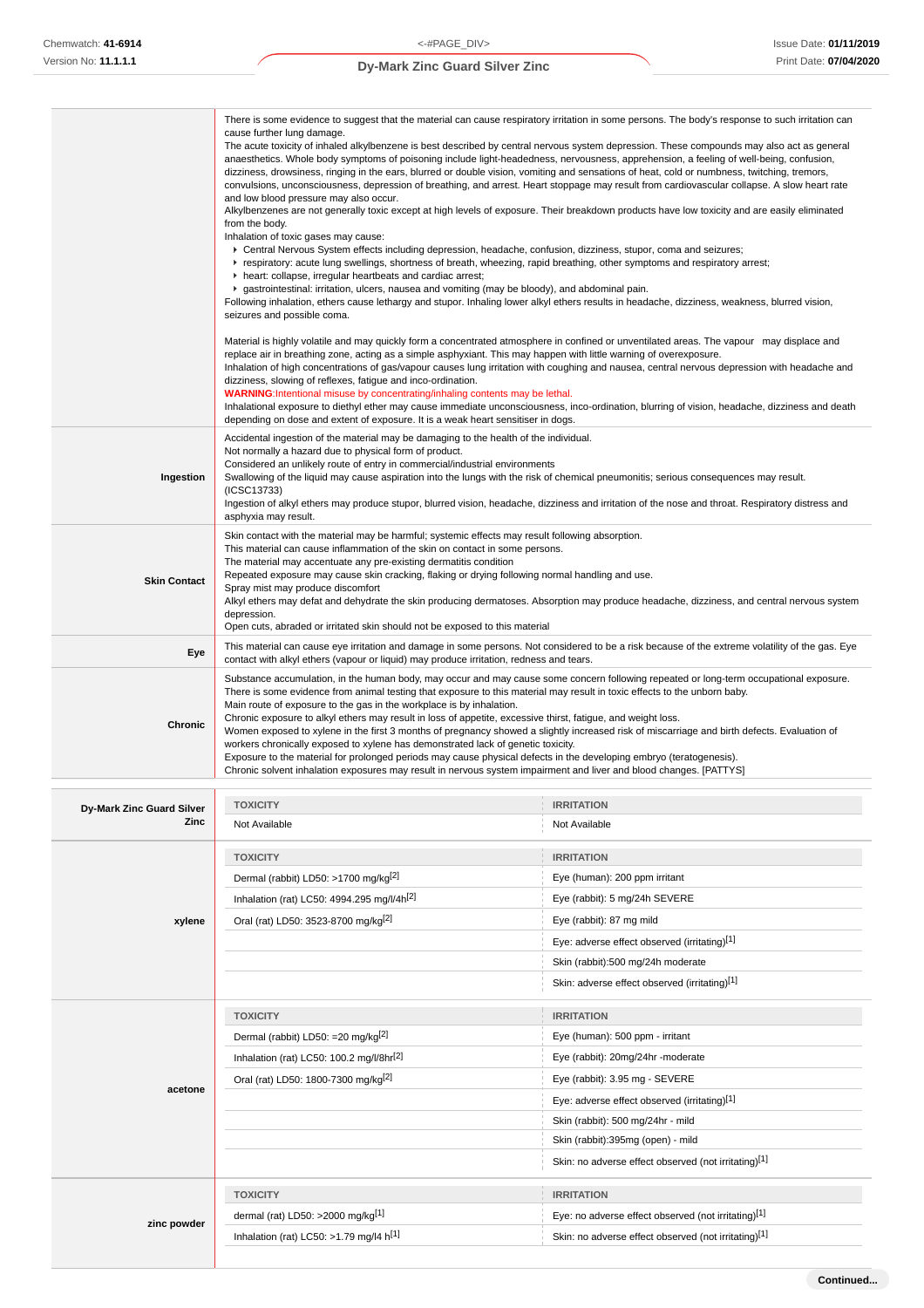|                                   | There is some evidence to suggest that the material can cause respiratory irritation in some persons. The body's response to such irritation can<br>cause further lung damage.<br>The acute toxicity of inhaled alkylbenzene is best described by central nervous system depression. These compounds may also act as general<br>anaesthetics. Whole body symptoms of poisoning include light-headedness, nervousness, apprehension, a feeling of well-being, confusion,<br>dizziness, drowsiness, ringing in the ears, blurred or double vision, vomiting and sensations of heat, cold or numbness, twitching, tremors,<br>convulsions, unconsciousness, depression of breathing, and arrest. Heart stoppage may result from cardiovascular collapse. A slow heart rate<br>and low blood pressure may also occur.<br>Alkylbenzenes are not generally toxic except at high levels of exposure. Their breakdown products have low toxicity and are easily eliminated<br>from the body.<br>Inhalation of toxic gases may cause:<br>▶ Central Nervous System effects including depression, headache, confusion, dizziness, stupor, coma and seizures;<br>F respiratory: acute lung swellings, shortness of breath, wheezing, rapid breathing, other symptoms and respiratory arrest;<br>heart: collapse, irregular heartbeats and cardiac arrest;<br>▶ gastrointestinal: irritation, ulcers, nausea and vomiting (may be bloody), and abdominal pain.<br>Following inhalation, ethers cause lethargy and stupor. Inhaling lower alkyl ethers results in headache, dizziness, weakness, blurred vision,<br>seizures and possible coma. |                                                                                                                                                  |  |
|-----------------------------------|-----------------------------------------------------------------------------------------------------------------------------------------------------------------------------------------------------------------------------------------------------------------------------------------------------------------------------------------------------------------------------------------------------------------------------------------------------------------------------------------------------------------------------------------------------------------------------------------------------------------------------------------------------------------------------------------------------------------------------------------------------------------------------------------------------------------------------------------------------------------------------------------------------------------------------------------------------------------------------------------------------------------------------------------------------------------------------------------------------------------------------------------------------------------------------------------------------------------------------------------------------------------------------------------------------------------------------------------------------------------------------------------------------------------------------------------------------------------------------------------------------------------------------------------------------------------------------------------------------------------------------------|--------------------------------------------------------------------------------------------------------------------------------------------------|--|
|                                   | Material is highly volatile and may quickly form a concentrated atmosphere in confined or unventilated areas. The vapour may displace and<br>replace air in breathing zone, acting as a simple asphyxiant. This may happen with little warning of overexposure.<br>Inhalation of high concentrations of gas/vapour causes lung irritation with coughing and nausea, central nervous depression with headache and<br>dizziness, slowing of reflexes, fatigue and inco-ordination.<br><b>WARNING:</b> Intentional misuse by concentrating/inhaling contents may be lethal.<br>depending on dose and extent of exposure. It is a weak heart sensitiser in dogs.                                                                                                                                                                                                                                                                                                                                                                                                                                                                                                                                                                                                                                                                                                                                                                                                                                                                                                                                                                      | Inhalational exposure to diethyl ether may cause immediate unconsciousness, inco-ordination, blurring of vision, headache, dizziness and death   |  |
| Ingestion                         | Accidental ingestion of the material may be damaging to the health of the individual.<br>Not normally a hazard due to physical form of product.<br>Considered an unlikely route of entry in commercial/industrial environments<br>Swallowing of the liquid may cause aspiration into the lungs with the risk of chemical pneumonitis; serious consequences may result.<br>(ICSC13733)<br>Ingestion of alkyl ethers may produce stupor, blurred vision, headache, dizziness and irritation of the nose and throat. Respiratory distress and<br>asphyxia may result.                                                                                                                                                                                                                                                                                                                                                                                                                                                                                                                                                                                                                                                                                                                                                                                                                                                                                                                                                                                                                                                                |                                                                                                                                                  |  |
| <b>Skin Contact</b>               | Skin contact with the material may be harmful; systemic effects may result following absorption.<br>This material can cause inflammation of the skin on contact in some persons.<br>The material may accentuate any pre-existing dermatitis condition<br>Repeated exposure may cause skin cracking, flaking or drying following normal handling and use.<br>Spray mist may produce discomfort<br>Alkyl ethers may defat and dehydrate the skin producing dermatoses. Absorption may produce headache, dizziness, and central nervous system<br>depression.<br>Open cuts, abraded or irritated skin should not be exposed to this material                                                                                                                                                                                                                                                                                                                                                                                                                                                                                                                                                                                                                                                                                                                                                                                                                                                                                                                                                                                         |                                                                                                                                                  |  |
| Eye                               | contact with alkyl ethers (vapour or liquid) may produce irritation, redness and tears.                                                                                                                                                                                                                                                                                                                                                                                                                                                                                                                                                                                                                                                                                                                                                                                                                                                                                                                                                                                                                                                                                                                                                                                                                                                                                                                                                                                                                                                                                                                                           | This material can cause eye irritation and damage in some persons. Not considered to be a risk because of the extreme volatility of the gas. Eye |  |
| <b>Chronic</b>                    | Substance accumulation, in the human body, may occur and may cause some concern following repeated or long-term occupational exposure.<br>There is some evidence from animal testing that exposure to this material may result in toxic effects to the unborn baby.<br>Main route of exposure to the gas in the workplace is by inhalation.<br>Chronic exposure to alkyl ethers may result in loss of appetite, excessive thirst, fatigue, and weight loss.<br>Women exposed to xylene in the first 3 months of pregnancy showed a slightly increased risk of miscarriage and birth defects. Evaluation of<br>workers chronically exposed to xylene has demonstrated lack of genetic toxicity.<br>Exposure to the material for prolonged periods may cause physical defects in the developing embryo (teratogenesis).<br>Chronic solvent inhalation exposures may result in nervous system impairment and liver and blood changes. [PATTYS]                                                                                                                                                                                                                                                                                                                                                                                                                                                                                                                                                                                                                                                                                       |                                                                                                                                                  |  |
|                                   |                                                                                                                                                                                                                                                                                                                                                                                                                                                                                                                                                                                                                                                                                                                                                                                                                                                                                                                                                                                                                                                                                                                                                                                                                                                                                                                                                                                                                                                                                                                                                                                                                                   |                                                                                                                                                  |  |
| Dy-Mark Zinc Guard Silver<br>Zinc | <b>TOXICITY</b><br>Not Available                                                                                                                                                                                                                                                                                                                                                                                                                                                                                                                                                                                                                                                                                                                                                                                                                                                                                                                                                                                                                                                                                                                                                                                                                                                                                                                                                                                                                                                                                                                                                                                                  | <b>IRRITATION</b><br>Not Available                                                                                                               |  |
|                                   |                                                                                                                                                                                                                                                                                                                                                                                                                                                                                                                                                                                                                                                                                                                                                                                                                                                                                                                                                                                                                                                                                                                                                                                                                                                                                                                                                                                                                                                                                                                                                                                                                                   |                                                                                                                                                  |  |
|                                   | <b>TOXICITY</b><br>Dermal (rabbit) LD50: >1700 mg/kg <sup>[2]</sup>                                                                                                                                                                                                                                                                                                                                                                                                                                                                                                                                                                                                                                                                                                                                                                                                                                                                                                                                                                                                                                                                                                                                                                                                                                                                                                                                                                                                                                                                                                                                                               | <b>IRRITATION</b><br>Eye (human): 200 ppm irritant                                                                                               |  |
|                                   | Inhalation (rat) LC50: 4994.295 mg/l/4h[2]                                                                                                                                                                                                                                                                                                                                                                                                                                                                                                                                                                                                                                                                                                                                                                                                                                                                                                                                                                                                                                                                                                                                                                                                                                                                                                                                                                                                                                                                                                                                                                                        | Eye (rabbit): 5 mg/24h SEVERE                                                                                                                    |  |
| xylene                            | Oral (rat) LD50: 3523-8700 mg/kg <sup>[2]</sup>                                                                                                                                                                                                                                                                                                                                                                                                                                                                                                                                                                                                                                                                                                                                                                                                                                                                                                                                                                                                                                                                                                                                                                                                                                                                                                                                                                                                                                                                                                                                                                                   | Eye (rabbit): 87 mg mild                                                                                                                         |  |
|                                   |                                                                                                                                                                                                                                                                                                                                                                                                                                                                                                                                                                                                                                                                                                                                                                                                                                                                                                                                                                                                                                                                                                                                                                                                                                                                                                                                                                                                                                                                                                                                                                                                                                   | Eye: adverse effect observed (irritating)[1]                                                                                                     |  |
|                                   |                                                                                                                                                                                                                                                                                                                                                                                                                                                                                                                                                                                                                                                                                                                                                                                                                                                                                                                                                                                                                                                                                                                                                                                                                                                                                                                                                                                                                                                                                                                                                                                                                                   |                                                                                                                                                  |  |

|             | Dermal (rabbit) LD50: =20 mg/kg <sup>[2]</sup>       | Eye (human): 500 ppm - irritant                      |
|-------------|------------------------------------------------------|------------------------------------------------------|
| acetone     | Inhalation (rat) LC50: 100.2 mg/l/8hr <sup>[2]</sup> | Eye (rabbit): 20mg/24hr -moderate                    |
|             | Oral (rat) LD50: 1800-7300 mg/kg <sup>[2]</sup>      | Eye (rabbit): 3.95 mg - SEVERE                       |
|             |                                                      | Eye: adverse effect observed (irritating)[1]         |
|             |                                                      | Skin (rabbit): 500 mg/24hr - mild                    |
|             |                                                      | Skin (rabbit):395mg (open) - mild                    |
|             |                                                      | Skin: no adverse effect observed (not irritating)[1] |
|             | <b>TOXICITY</b>                                      | <b>IRRITATION</b>                                    |
|             | dermal (rat) LD50: $>2000$ mg/kg <sup>[1]</sup>      | Eye: no adverse effect observed (not irritating)[1]  |
| zinc powder | Inhalation (rat) LC50: >1.79 mg/l4 $h^{[1]}$         | Skin: no adverse effect observed (not irritating)[1] |
|             |                                                      |                                                      |
|             |                                                      | Continued                                            |

**TOXICITY IRRITATION**

Skin (rabbit):500 mg/24h moderate Skin: adverse effect observed (irritating)[1]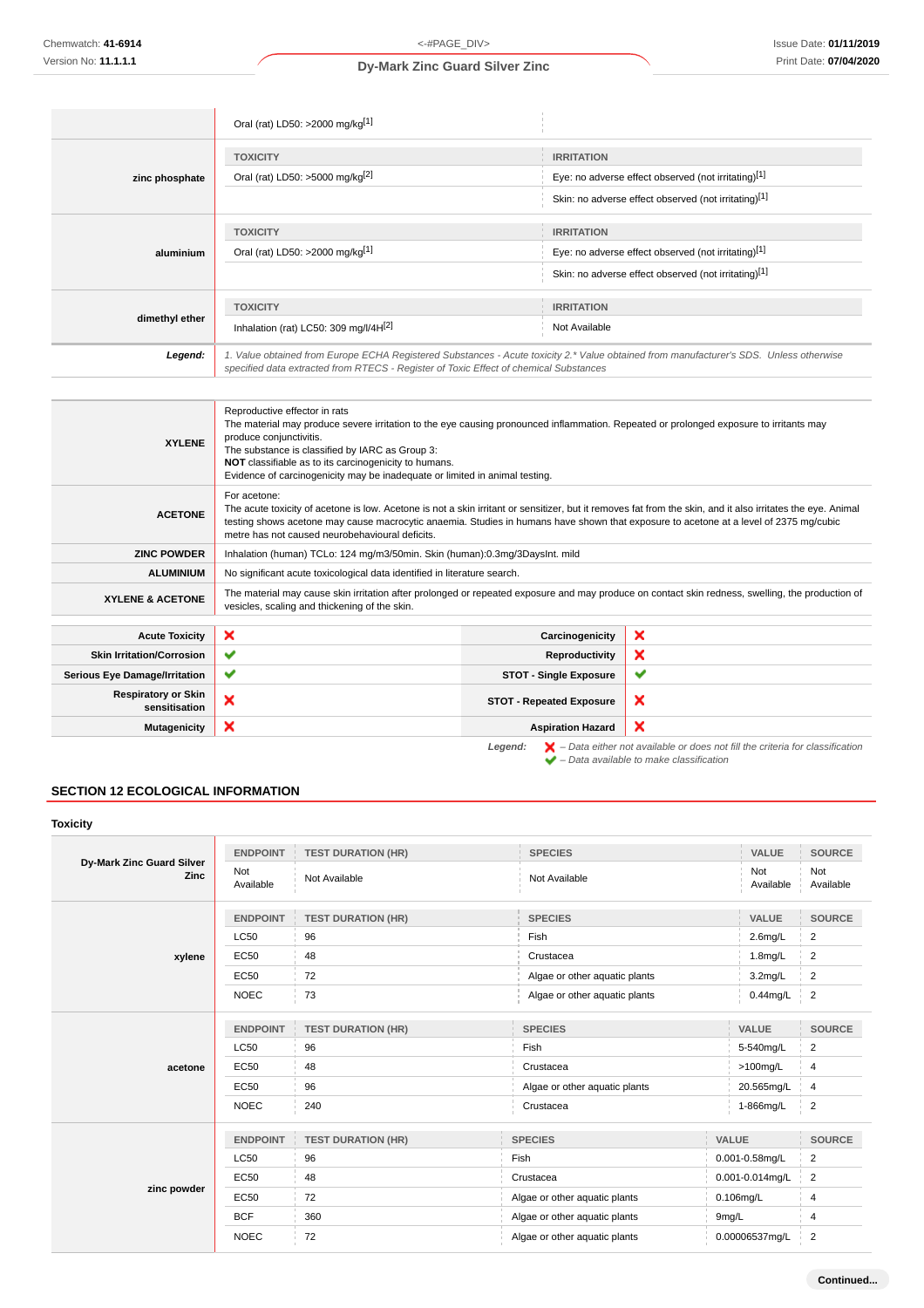|                | Oral (rat) LD50: >2000 mg/kg[1]                                                                                                                                                                                                 |                                                                                                                                  |  |
|----------------|---------------------------------------------------------------------------------------------------------------------------------------------------------------------------------------------------------------------------------|----------------------------------------------------------------------------------------------------------------------------------|--|
| zinc phosphate | <b>TOXICITY</b><br>Oral (rat) LD50: >5000 mg/kg <sup>[2]</sup>                                                                                                                                                                  | <b>IRRITATION</b><br>Eye: no adverse effect observed (not irritating)[1]<br>Skin: no adverse effect observed (not irritating)[1] |  |
| aluminium      | <b>TOXICITY</b><br>Oral (rat) LD50: >2000 mg/kg[1]                                                                                                                                                                              | <b>IRRITATION</b><br>Eye: no adverse effect observed (not irritating)[1]<br>Skin: no adverse effect observed (not irritating)[1] |  |
| dimethyl ether | <b>TOXICITY</b><br>Inhalation (rat) LC50: 309 mg/l/4H $^{[2]}$                                                                                                                                                                  | <b>IRRITATION</b><br>Not Available                                                                                               |  |
| Legend:        | 1. Value obtained from Europe ECHA Registered Substances - Acute toxicity 2.* Value obtained from manufacturer's SDS. Unless otherwise<br>specified data extracted from RTECS - Register of Toxic Effect of chemical Substances |                                                                                                                                  |  |

| <b>XYLENE</b>                               | Reproductive effector in rats<br>The material may produce severe irritation to the eye causing pronounced inflammation. Repeated or prolonged exposure to irritants may<br>produce conjunctivitis.<br>The substance is classified by IARC as Group 3:<br>NOT classifiable as to its carcinogenicity to humans.<br>Evidence of carcinogenicity may be inadequate or limited in animal testing. |                                 |                                                                                                    |
|---------------------------------------------|-----------------------------------------------------------------------------------------------------------------------------------------------------------------------------------------------------------------------------------------------------------------------------------------------------------------------------------------------------------------------------------------------|---------------------------------|----------------------------------------------------------------------------------------------------|
| <b>ACETONE</b>                              | For acetone:<br>The acute toxicity of acetone is low. Acetone is not a skin irritant or sensitizer, but it removes fat from the skin, and it also irritates the eye. Animal<br>testing shows acetone may cause macrocytic anaemia. Studies in humans have shown that exposure to acetone at a level of 2375 mg/cubic<br>metre has not caused neurobehavioural deficits.                       |                                 |                                                                                                    |
| <b>ZINC POWDER</b>                          | Inhalation (human) TCLo: 124 mg/m3/50min. Skin (human):0.3mg/3DaysInt. mild                                                                                                                                                                                                                                                                                                                   |                                 |                                                                                                    |
| <b>ALUMINIUM</b>                            | No significant acute toxicological data identified in literature search.                                                                                                                                                                                                                                                                                                                      |                                 |                                                                                                    |
| <b>XYLENE &amp; ACETONE</b>                 | The material may cause skin irritation after prolonged or repeated exposure and may produce on contact skin redness, swelling, the production of<br>vesicles, scaling and thickening of the skin.                                                                                                                                                                                             |                                 |                                                                                                    |
| <b>Acute Toxicity</b>                       | ×                                                                                                                                                                                                                                                                                                                                                                                             | Carcinogenicity                 | ×                                                                                                  |
| <b>Skin Irritation/Corrosion</b>            | ✔                                                                                                                                                                                                                                                                                                                                                                                             | Reproductivity                  | ×                                                                                                  |
| <b>Serious Eye Damage/Irritation</b>        | ✔                                                                                                                                                                                                                                                                                                                                                                                             | <b>STOT - Single Exposure</b>   | ✔                                                                                                  |
| <b>Respiratory or Skin</b><br>sensitisation | ×                                                                                                                                                                                                                                                                                                                                                                                             | <b>STOT - Repeated Exposure</b> | ×                                                                                                  |
| <b>Mutagenicity</b>                         | ×                                                                                                                                                                                                                                                                                                                                                                                             | <b>Aspiration Hazard</b>        | ×                                                                                                  |
|                                             |                                                                                                                                                                                                                                                                                                                                                                                               | Legend:                         | $\blacktriangleright$ - Data either not available or does not fill the criteria for classification |

– Data available to make classification

### **SECTION 12 ECOLOGICAL INFORMATION**

| <b>Toxicity</b>                   |                  |                           |                               |                     |                  |
|-----------------------------------|------------------|---------------------------|-------------------------------|---------------------|------------------|
|                                   | <b>ENDPOINT</b>  | <b>TEST DURATION (HR)</b> | <b>SPECIES</b>                | VALUE               | <b>SOURCE</b>    |
| Dy-Mark Zinc Guard Silver<br>Zinc | Not<br>Available | Not Available             | Not Available                 | Not<br>Available    | Not<br>Available |
|                                   | <b>ENDPOINT</b>  | <b>TEST DURATION (HR)</b> | <b>SPECIES</b>                | <b>VALUE</b>        | <b>SOURCE</b>    |
|                                   | <b>LC50</b>      | 96                        | Fish                          | $2.6$ mg/L          | 2                |
| xylene                            | <b>EC50</b>      | 48                        | Crustacea                     | 1.8mg/L             | $\overline{2}$   |
|                                   | <b>EC50</b>      | 72                        | Algae or other aquatic plants | $3.2$ mg/L          | 2                |
|                                   | <b>NOEC</b>      | 73                        | Algae or other aquatic plants | 0.44mg/L            | $\overline{2}$   |
|                                   | <b>ENDPOINT</b>  | <b>TEST DURATION (HR)</b> | <b>SPECIES</b>                | VALUE               | <b>SOURCE</b>    |
|                                   | <b>LC50</b>      | 96                        | Fish                          | 5-540mg/L           | $\overline{2}$   |
| acetone                           | <b>EC50</b>      | 48                        | Crustacea                     | $>100$ mg/L         | $\overline{4}$   |
|                                   | <b>EC50</b>      | 96                        | Algae or other aquatic plants | 20.565mg/L          | $\overline{4}$   |
|                                   | <b>NOEC</b>      | 240                       | Crustacea                     | 1-866mg/L           | 2                |
|                                   | <b>ENDPOINT</b>  | <b>TEST DURATION (HR)</b> | <b>SPECIES</b>                | <b>VALUE</b>        | <b>SOURCE</b>    |
|                                   | <b>LC50</b>      | 96                        | Fish                          | $0.001 - 0.58$ mg/L | $\overline{2}$   |
|                                   | <b>EC50</b>      | 48                        | Crustacea                     | 0.001-0.014mg/L     | $\overline{2}$   |
| zinc powder                       | <b>EC50</b>      | 72                        | Algae or other aquatic plants | 0.106mg/L           | $\overline{4}$   |
|                                   | <b>BCF</b>       | 360                       | Algae or other aquatic plants | 9mg/L               | 4                |
|                                   | <b>NOEC</b>      | 72                        | Algae or other aquatic plants | 0.00006537mg/L      | $\overline{2}$   |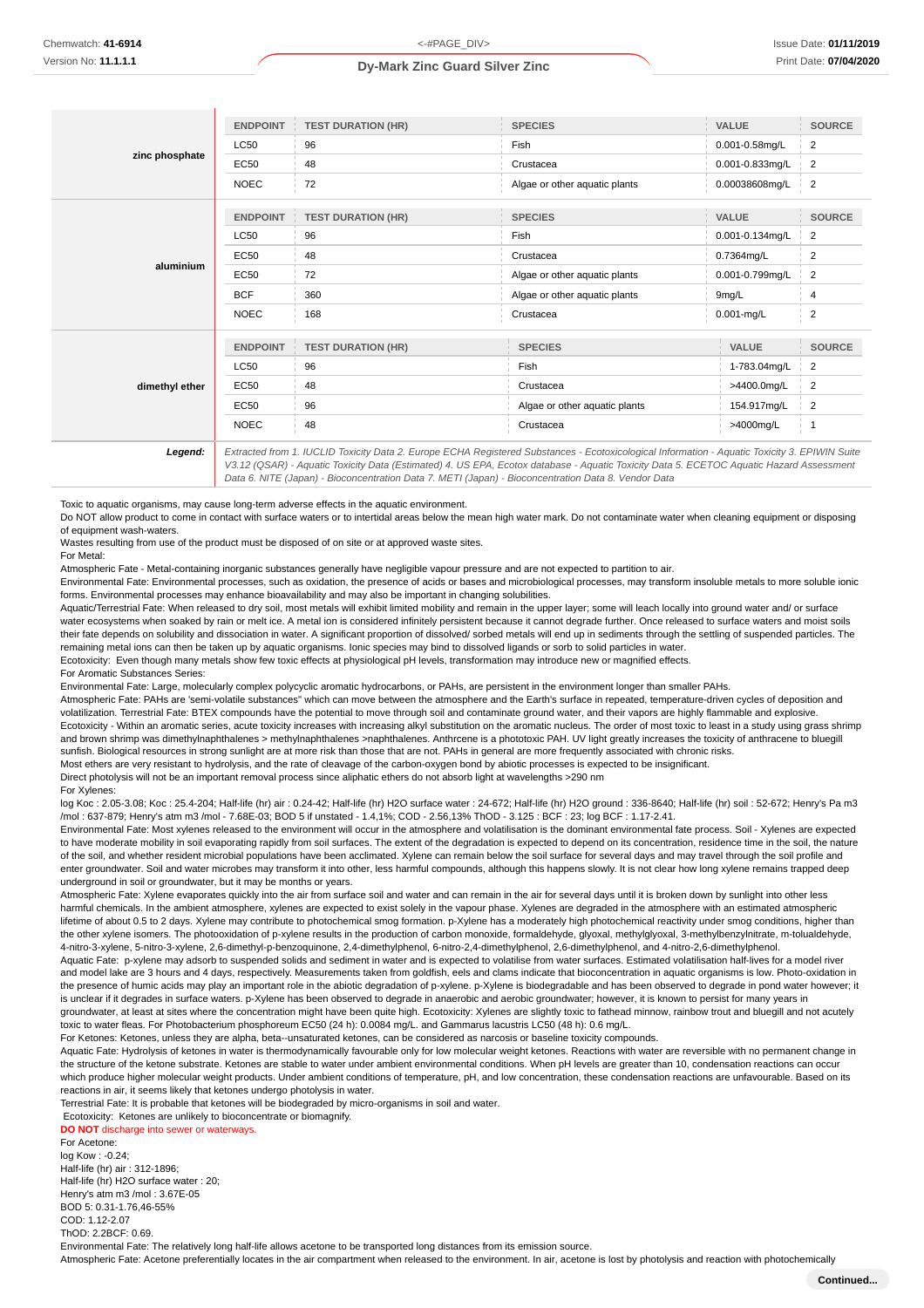|                | <b>ENDPOINT</b> | <b>TEST DURATION (HR)</b>                                                                                                                     | <b>SPECIES</b>                | <b>VALUE</b>    | <b>SOURCE</b>  |
|----------------|-----------------|-----------------------------------------------------------------------------------------------------------------------------------------------|-------------------------------|-----------------|----------------|
|                | <b>LC50</b>     | 96                                                                                                                                            | Fish                          | 0.001-0.58mg/L  | 2              |
| zinc phosphate | EC50            | 48                                                                                                                                            | Crustacea                     | 0.001-0.833mg/L | 2              |
|                | <b>NOEC</b>     | 72                                                                                                                                            | Algae or other aquatic plants | 0.00038608mg/L  | $\frac{1}{2}$  |
|                | <b>ENDPOINT</b> | <b>TEST DURATION (HR)</b>                                                                                                                     | <b>SPECIES</b>                | <b>VALUE</b>    | <b>SOURCE</b>  |
|                | <b>LC50</b>     | 96                                                                                                                                            | Fish                          | 0.001-0.134mg/L | 2              |
|                | EC50            | 48                                                                                                                                            | Crustacea                     | 0.7364mg/L      | 2              |
| aluminium      | <b>EC50</b>     | 72                                                                                                                                            | Algae or other aquatic plants | 0.001-0.799mg/L | $\overline{2}$ |
|                | <b>BCF</b>      | 360                                                                                                                                           | Algae or other aquatic plants | 9mg/L           | 4              |
|                | <b>NOEC</b>     | 168                                                                                                                                           | Crustacea                     | $0.001$ -mg/L   | $\overline{2}$ |
|                | <b>ENDPOINT</b> | <b>TEST DURATION (HR)</b>                                                                                                                     | <b>SPECIES</b>                | <b>VALUE</b>    | <b>SOURCE</b>  |
|                | <b>LC50</b>     | 96                                                                                                                                            | Fish                          | 1-783.04mg/L    | 2              |
| dimethyl ether | <b>EC50</b>     | 48                                                                                                                                            | >4400.0mg/L<br>Crustacea      |                 | 2              |
|                | EC50            | 96                                                                                                                                            | Algae or other aquatic plants | 154.917mg/L     | 2              |
|                | <b>NOEC</b>     | 48                                                                                                                                            | Crustacea                     | >4000mg/L       | $\overline{1}$ |
| Legend:        |                 | Extracted from 1. IUCLID Toxicity Data 2. Europe ECHA Registered Substances - Ecotoxicological Information - Aquatic Toxicity 3. EPIWIN Suite |                               |                 |                |

V3.12 (QSAR) - Aquatic Toxicity Data (Estimated) 4. US EPA, Ecotox database - Aquatic Toxicity Data 5. ECETOC Aquatic Hazard Assessment Data 6. NITE (Japan) - Bioconcentration Data 7. METI (Japan) - Bioconcentration Data 8. Vendor Data

Toxic to aquatic organisms, may cause long-term adverse effects in the aquatic environment.

Do NOT allow product to come in contact with surface waters or to intertidal areas below the mean high water mark. Do not contaminate water when cleaning equipment or disposing of equipment wash-waters.

Wastes resulting from use of the product must be disposed of on site or at approved waste sites. For Metal:

Atmospheric Fate - Metal-containing inorganic substances generally have negligible vapour pressure and are not expected to partition to air.

Environmental Fate: Environmental processes, such as oxidation, the presence of acids or bases and microbiological processes, may transform insoluble metals to more soluble ionic forms. Environmental processes may enhance bioavailability and may also be important in changing solubilities.

Aquatic/Terrestrial Fate: When released to dry soil, most metals will exhibit limited mobility and remain in the upper layer; some will leach locally into ground water and/ or surface water ecosystems when soaked by rain or melt ice. A metal ion is considered infinitely persistent because it cannot degrade further. Once released to surface waters and moist soils their fate depends on solubility and dissociation in water. A significant proportion of dissolved/ sorbed metals will end up in sediments through the settling of suspended particles. The remaining metal ions can then be taken up by aquatic organisms. Ionic species may bind to dissolved ligands or sorb to solid particles in water. Ecotoxicity: Even though many metals show few toxic effects at physiological pH levels, transformation may introduce new or magnified effects.

For Aromatic Substances Series:

Environmental Fate: Large, molecularly complex polycyclic aromatic hydrocarbons, or PAHs, are persistent in the environment longer than smaller PAHs.

Atmospheric Fate: PAHs are 'semi-volatile substances" which can move between the atmosphere and the Earth's surface in repeated, temperature-driven cycles of deposition and volatilization. Terrestrial Fate: BTEX compounds have the potential to move through soil and contaminate ground water, and their vapors are highly flammable and explosive. Ecotoxicity - Within an aromatic series, acute toxicity increases with increasing alkyl substitution on the aromatic nucleus. The order of most toxic to least in a study using grass shrimp and brown shrimp was dimethylnaphthalenes > methylnaphthalenes >naphthalenes. Anthrcene is a phototoxic PAH. UV light greatly increases the toxicity of anthracene to bluegill sunfish. Biological resources in strong sunlight are at more risk than those that are not. PAHs in general are more frequently associated with chronic risks. Most ethers are very resistant to hydrolysis, and the rate of cleavage of the carbon-oxygen bond by abiotic processes is expected to be insignificant.

Direct photolysis will not be an important removal process since aliphatic ethers do not absorb light at wavelengths >290 nm

#### For Xylenes:

log Koc : 2.05-3.08; Koc : 25.4-204; Half-life (hr) air : 0.24-42; Half-life (hr) H2O surface water : 24-672; Half-life (hr) H2O ground : 336-8640; Half-life (hr) soil : 52-672; Henry's Pa m3 /mol : 637-879; Henry's atm m3 /mol - 7.68E-03; BOD 5 if unstated - 1.4,1%; COD - 2.56,13% ThOD - 3.125 : BCF : 23; log BCF : 1.17-2.41.

Environmental Fate: Most xylenes released to the environment will occur in the atmosphere and volatilisation is the dominant environmental fate process. Soil - Xylenes are expected to have moderate mobility in soil evaporating rapidly from soil surfaces. The extent of the degradation is expected to depend on its concentration, residence time in the soil, the nature of the soil, and whether resident microbial populations have been acclimated. Xylene can remain below the soil surface for several days and may travel through the soil profile and enter groundwater. Soil and water microbes may transform it into other, less harmful compounds, although this happens slowly. It is not clear how long xylene remains trapped deep underground in soil or groundwater, but it may be months or years.

Atmospheric Fate: Xylene evaporates quickly into the air from surface soil and water and can remain in the air for several days until it is broken down by sunlight into other less harmful chemicals. In the ambient atmosphere, xylenes are expected to exist solely in the vapour phase. Xylenes are degraded in the atmosphere with an estimated atmospheric lifetime of about 0.5 to 2 days. Xylene may contribute to photochemical smog formation. p-Xylene has a moderately high photochemical reactivity under smog conditions, higher than the other xylene isomers. The photooxidation of p-xylene results in the production of carbon monoxide, formaldehyde, glyoxal, methylglyoxal, 3-methylbenzylnitrate, m-tolualdehyde, 4-nitro-3-xylene, 5-nitro-3-xylene, 2,6-dimethyl-p-benzoquinone, 2,4-dimethylphenol, 6-nitro-2,4-dimethylphenol, 2,6-dimethylphenol, and 4-nitro-2,6-dimethylphenol.

Aquatic Fate: p-xylene may adsorb to suspended solids and sediment in water and is expected to volatilise from water surfaces. Estimated volatilisation half-lives for a model river and model lake are 3 hours and 4 days, respectively. Measurements taken from goldfish, eels and clams indicate that bioconcentration in aquatic organisms is low. Photo-oxidation in the presence of humic acids may play an important role in the abiotic degradation of p-xylene. p-Xylene is biodegradable and has been observed to degrade in pond water however; it is unclear if it degrades in surface waters, p-Xylene has been observed to degrade in anaerobic and aerobic groundwater; however, it is known to persist for many years in groundwater, at least at sites where the concentration might have been quite high. Ecotoxicity: Xylenes are slightly toxic to fathead minnow, rainbow trout and bluegill and not acutely toxic to water fleas. For Photobacterium phosphoreum EC50 (24 h): 0.0084 mg/L. and Gammarus lacustris LC50 (48 h): 0.6 mg/L.

For Ketones: Ketones, unless they are alpha, beta--unsaturated ketones, can be considered as narcosis or baseline toxicity compounds.

Aquatic Fate: Hydrolysis of ketones in water is thermodynamically favourable only for low molecular weight ketones. Reactions with water are reversible with no permanent change in the structure of the ketone substrate. Ketones are stable to water under ambient environmental conditions. When pH levels are greater than 10, condensation reactions can occur which produce higher molecular weight products. Under ambient conditions of temperature, pH, and low concentration, these condensation reactions are unfavourable. Based on its reactions in air, it seems likely that ketones undergo photolysis in water.

Terrestrial Fate: It is probable that ketones will be biodegraded by micro-organisms in soil and water.

 Ecotoxicity: Ketones are unlikely to bioconcentrate or biomagnify. **DO NOT** discharge into sewer or waterways.

For Acetone: log Kow : -0.24; Half-life (hr) air : 312-1896; Half-life (hr) H2O surface water : 20; Henry's atm m3 /mol : 3.67E-05 BOD 5: 0.31-1.76,46-55% COD: 1.12-2.07 ThOD: 2.2BCF: 0.69. Environmental Fate: The relatively long half-life allows acetone to be transported long distances from its emission source. Atmospheric Fate: Acetone preferentially locates in the air compartment when released to the environment. In air, acetone is lost by photolysis and reaction with photochemically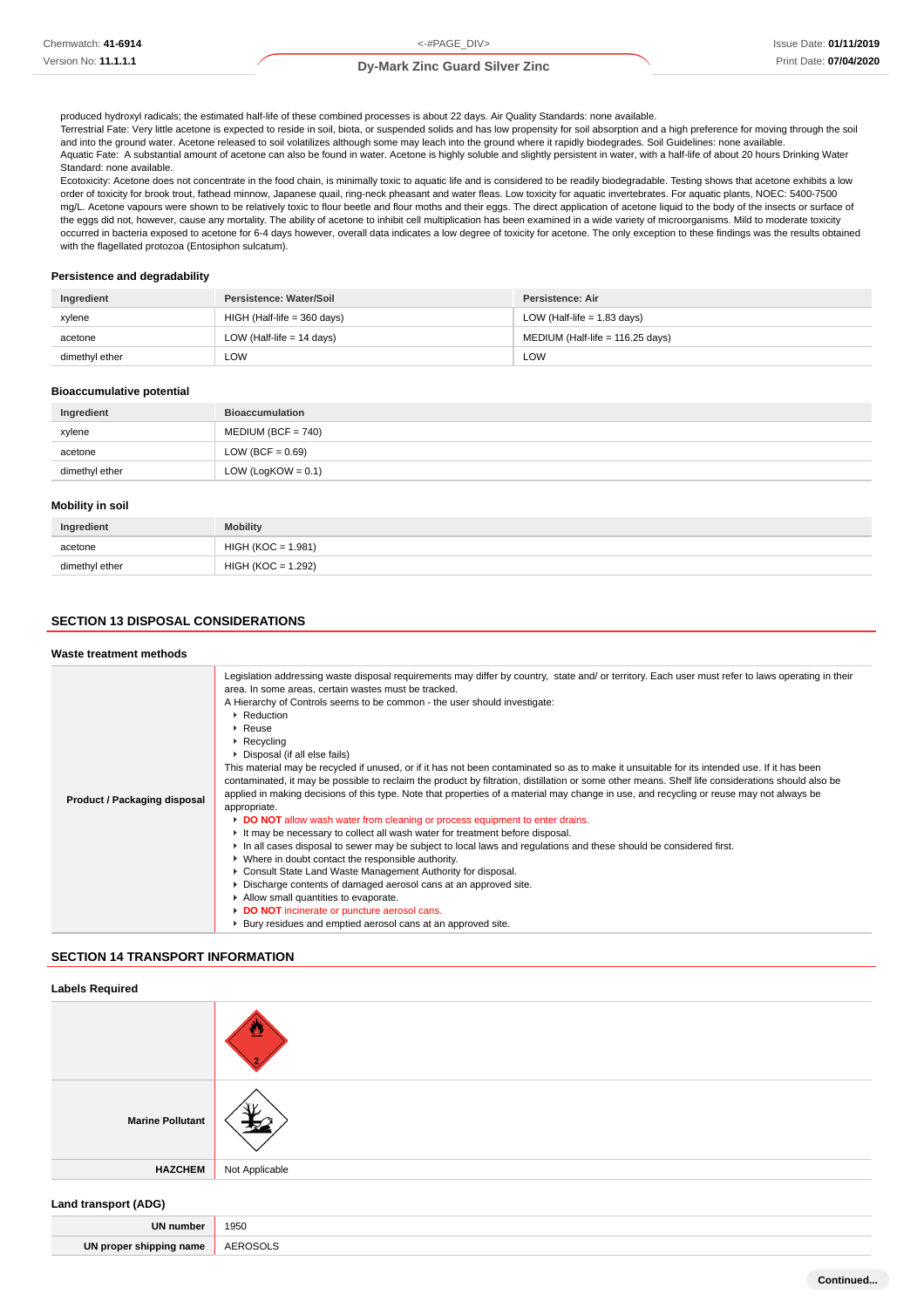produced hydroxyl radicals; the estimated half-life of these combined processes is about 22 days. Air Quality Standards: none available.

Terrestrial Fate: Very little acetone is expected to reside in soil, biota, or suspended solids and has low propensity for soil absorption and a high preference for moving through the soil and into the ground water. Acetone released to soil volatilizes although some may leach into the ground where it rapidly biodegrades. Soil Guidelines: none available. Aquatic Fate: A substantial amount of acetone can also be found in water. Acetone is highly soluble and slightly persistent in water, with a half-life of about 20 hours Drinking Water Standard: none available.

Ecotoxicity: Acetone does not concentrate in the food chain, is minimally toxic to aquatic life and is considered to be readily biodegradable. Testing shows that acetone exhibits a low order of toxicity for brook trout, fathead minnow, Japanese quail, ring-neck pheasant and water fleas. Low toxicity for aquatic invertebrates. For aquatic plants, NOEC: 5400-7500 mg/L. Acetone vapours were shown to be relatively toxic to flour beetle and flour moths and their eggs. The direct application of acetone liquid to the body of the insects or surface of the eggs did not, however, cause any mortality. The ability of acetone to inhibit cell multiplication has been examined in a wide variety of microorganisms. Mild to moderate toxicity occurred in bacteria exposed to acetone for 6-4 days however, overall data indicates a low degree of toxicity for acetone. The only exception to these findings was the results obtained with the flagellated protozoa (Entosiphon sulcatum).

#### **Persistence and degradability**

| Ingredient     | Persistence: Water/Soil       | Persistence: Air                 |
|----------------|-------------------------------|----------------------------------|
| xylene         | $HIGH$ (Half-life = 360 days) | LOW (Half-life $= 1.83$ days)    |
| acetone        | LOW (Half-life $= 14$ days)   | MEDIUM (Half-life = 116.25 days) |
| dimethyl ether | LOW                           | LOW                              |

#### **Bioaccumulative potential**

| Ingredient     | <b>Bioaccumulation</b> |
|----------------|------------------------|
| xylene         | $MEDIUM (BCF = 740)$   |
| acetone        | LOW (BCF = $0.69$ )    |
| dimethyl ether | LOW (LogKOW = $0.1$ )  |

#### **Mobility in soil**

| Ingredient     | <b>Mobility</b>      |
|----------------|----------------------|
| acetone        | $HIGH (KOC = 1.981)$ |
| dimethyl ether | $HIGH (KOC = 1.292)$ |

### **SECTION 13 DISPOSAL CONSIDERATIONS**

### **Waste treatment methods**

#### **SECTION 14 TRANSPORT INFORMATION**

| <b>Labels Required</b>    |                |  |
|---------------------------|----------------|--|
|                           |                |  |
| <b>Marine Pollutant</b>   |                |  |
| <b>HAZCHEM</b>            | Not Applicable |  |
| $\mathbf{r} = \mathbf{r}$ |                |  |

#### **Land transport (ADG)**

 $\overline{\phantom{a}}$ 

| UN         |        |
|------------|--------|
| l numbe    | 1950   |
|            | .      |
| <b>TIM</b> | — A⊢'  |
| name       | $\sim$ |
| nınnını    | .      |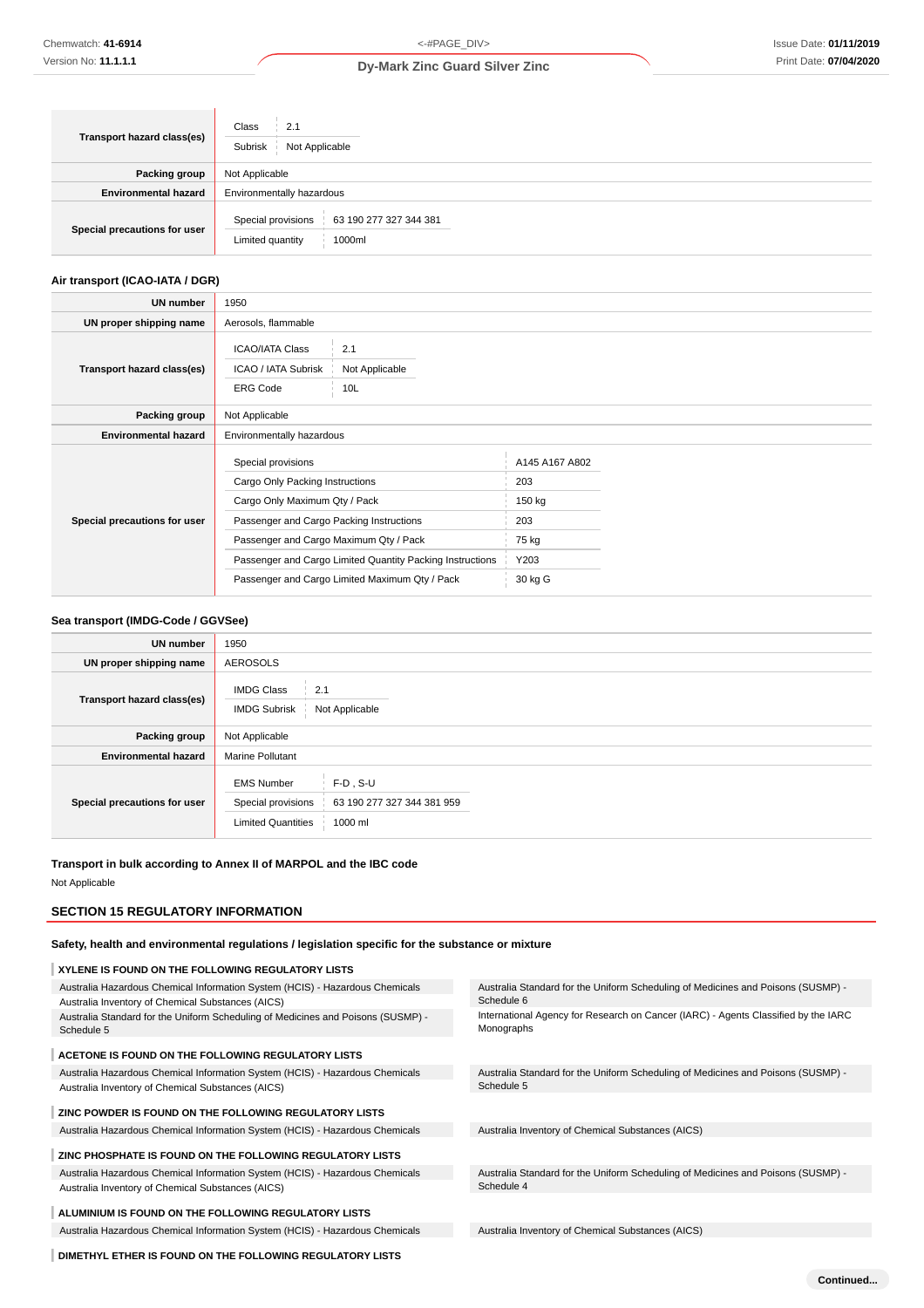**Continued...**

### **Dy-Mark Zinc Guard Silver Zinc**

| Transport hazard class(es)   | Class<br>2.1<br>Not Applicable<br>Subrisk                                  |  |  |
|------------------------------|----------------------------------------------------------------------------|--|--|
| Packing group                | Not Applicable                                                             |  |  |
| <b>Environmental hazard</b>  | Environmentally hazardous                                                  |  |  |
| Special precautions for user | Special provisions<br>63 190 277 327 344 381<br>Limited quantity<br>1000ml |  |  |

### **Air transport (ICAO-IATA / DGR)**

| UN number                    | 1950                                                                                                                                                                                                                                                                                        |                              |                                                                    |  |
|------------------------------|---------------------------------------------------------------------------------------------------------------------------------------------------------------------------------------------------------------------------------------------------------------------------------------------|------------------------------|--------------------------------------------------------------------|--|
| UN proper shipping name      | Aerosols, flammable                                                                                                                                                                                                                                                                         |                              |                                                                    |  |
| Transport hazard class(es)   | <b>ICAO/IATA Class</b><br>ICAO / IATA Subrisk<br><b>ERG Code</b>                                                                                                                                                                                                                            | 2.1<br>Not Applicable<br>10L |                                                                    |  |
| Packing group                | Not Applicable                                                                                                                                                                                                                                                                              |                              |                                                                    |  |
| <b>Environmental hazard</b>  | Environmentally hazardous                                                                                                                                                                                                                                                                   |                              |                                                                    |  |
| Special precautions for user | Special provisions<br>Cargo Only Packing Instructions<br>Cargo Only Maximum Qty / Pack<br>Passenger and Cargo Packing Instructions<br>Passenger and Cargo Maximum Qty / Pack<br>Passenger and Cargo Limited Quantity Packing Instructions<br>Passenger and Cargo Limited Maximum Qty / Pack |                              | A145 A167 A802<br>203<br>150 kg<br>203<br>75 kg<br>Y203<br>30 kg G |  |

### **Sea transport (IMDG-Code / GGVSee)**

| <b>UN number</b>             | 1950                                                                                                                         |  |  |
|------------------------------|------------------------------------------------------------------------------------------------------------------------------|--|--|
| UN proper shipping name      | <b>AEROSOLS</b>                                                                                                              |  |  |
| Transport hazard class(es)   | <b>IMDG Class</b><br>2.1<br>Not Applicable<br><b>IMDG Subrisk</b>                                                            |  |  |
| Packing group                | Not Applicable                                                                                                               |  |  |
| <b>Environmental hazard</b>  | <b>Marine Pollutant</b>                                                                                                      |  |  |
| Special precautions for user | <b>EMS Number</b><br>$F-D$ . S-U<br>63 190 277 327 344 381 959<br>Special provisions<br><b>Limited Quantities</b><br>1000 ml |  |  |

### **Transport in bulk according to Annex II of MARPOL and the IBC code**

Not Applicable

### **SECTION 15 REGULATORY INFORMATION**

**Safety, health and environmental regulations / legislation specific for the substance or mixture**

| XYLENE IS FOUND ON THE FOLLOWING REGULATORY LISTS                                              |                                                                                                  |
|------------------------------------------------------------------------------------------------|--------------------------------------------------------------------------------------------------|
| Australia Hazardous Chemical Information System (HCIS) - Hazardous Chemicals                   | Australia Standard for the Uniform Scheduling of Medicines and Poisons (SUSMP) -                 |
| Australia Inventory of Chemical Substances (AICS)                                              | Schedule 6                                                                                       |
| Australia Standard for the Uniform Scheduling of Medicines and Poisons (SUSMP) -<br>Schedule 5 | International Agency for Research on Cancer (IARC) - Agents Classified by the IARC<br>Monographs |
| ACETONE IS FOUND ON THE FOLLOWING REGULATORY LISTS                                             |                                                                                                  |
| Australia Hazardous Chemical Information System (HCIS) - Hazardous Chemicals                   | Australia Standard for the Uniform Scheduling of Medicines and Poisons (SUSMP) -                 |
| Australia Inventory of Chemical Substances (AICS)                                              | Schedule 5                                                                                       |
| ZINC POWDER IS FOUND ON THE FOLLOWING REGULATORY LISTS                                         |                                                                                                  |
| Australia Hazardous Chemical Information System (HCIS) - Hazardous Chemicals                   | Australia Inventory of Chemical Substances (AICS)                                                |
| ZINC PHOSPHATE IS FOUND ON THE FOLLOWING REGULATORY LISTS                                      |                                                                                                  |
| Australia Hazardous Chemical Information System (HCIS) - Hazardous Chemicals                   | Australia Standard for the Uniform Scheduling of Medicines and Poisons (SUSMP) -                 |
| Australia Inventory of Chemical Substances (AICS)                                              | Schedule 4                                                                                       |
| ALUMINIUM IS FOUND ON THE FOLLOWING REGULATORY LISTS                                           |                                                                                                  |
| Australia Hazardous Chemical Information System (HCIS) - Hazardous Chemicals                   | Australia Inventory of Chemical Substances (AICS)                                                |
| DIMETHYL ETHER IS FOUND ON THE FOLLOWING REGULATORY LISTS                                      |                                                                                                  |